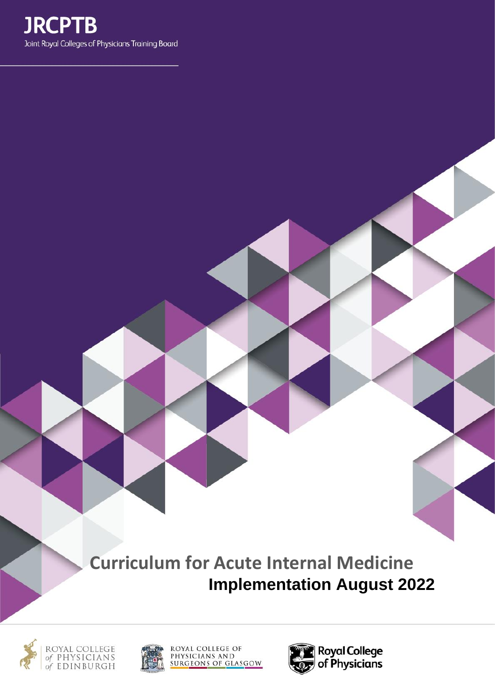

**Curriculum for Acute Internal Medicine Implementation August 2022**





ROYAL COLLEGE OF<br>PHYSICIANS AND<br>SURGEONS OF GLASGOW

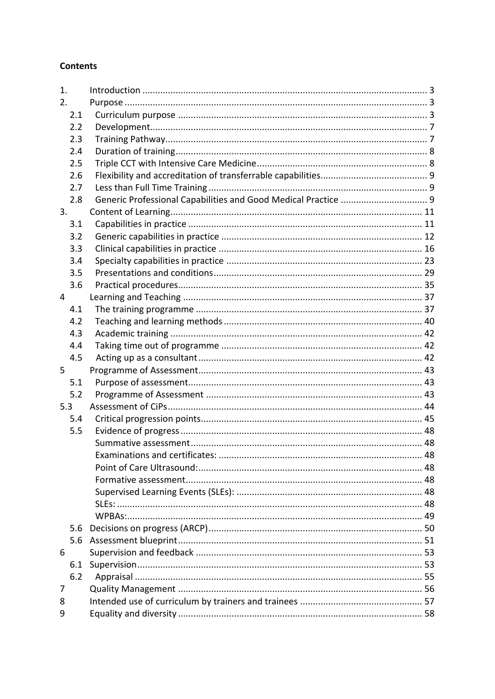## **Contents**

| 1.  |     |                                |  |
|-----|-----|--------------------------------|--|
| 2.  |     |                                |  |
|     | 2.1 |                                |  |
|     | 2.2 |                                |  |
|     | 2.3 |                                |  |
|     | 2.4 |                                |  |
|     | 2.5 |                                |  |
|     | 2.6 |                                |  |
|     | 2.7 |                                |  |
|     | 2.8 |                                |  |
| 3.  |     |                                |  |
|     | 3.1 |                                |  |
|     | 3.2 |                                |  |
|     | 3.3 |                                |  |
|     | 3.4 |                                |  |
|     | 3.5 |                                |  |
|     | 3.6 |                                |  |
| 4   |     |                                |  |
|     | 4.1 |                                |  |
|     | 4.2 |                                |  |
|     | 4.3 |                                |  |
|     | 4.4 |                                |  |
|     | 4.5 |                                |  |
| 5   |     |                                |  |
|     | 5.1 |                                |  |
|     | 5.2 |                                |  |
| 5.3 |     |                                |  |
|     | 5.4 |                                |  |
|     | 5.5 |                                |  |
|     |     |                                |  |
|     |     | Examinations and certificates: |  |
|     |     |                                |  |
|     |     |                                |  |
|     |     |                                |  |
|     |     |                                |  |
|     |     |                                |  |
|     | 5.6 |                                |  |
|     | 5.6 |                                |  |
| 6   |     |                                |  |
|     | 6.1 |                                |  |
|     | 6.2 |                                |  |
| 7   |     |                                |  |
| 8   |     |                                |  |
| 9   |     |                                |  |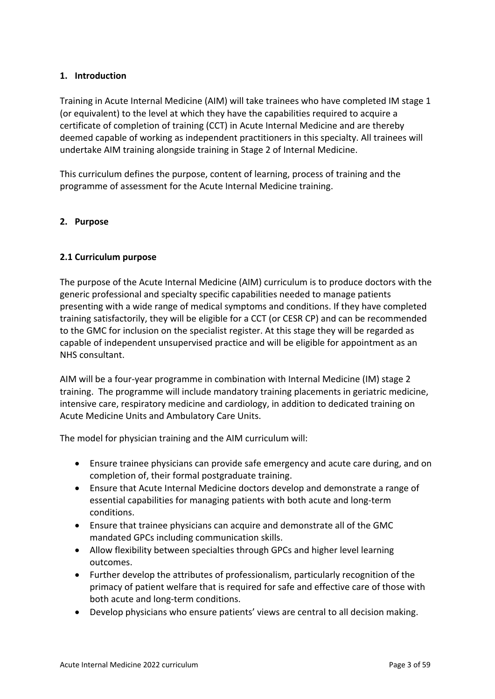## <span id="page-2-0"></span>**1. Introduction**

Training in Acute Internal Medicine (AIM) will take trainees who have completed IM stage 1 (or equivalent) to the level at which they have the capabilities required to acquire a certificate of completion of training (CCT) in Acute Internal Medicine and are thereby deemed capable of working as independent practitioners in this specialty. All trainees will undertake AIM training alongside training in Stage 2 of Internal Medicine.

This curriculum defines the purpose, content of learning, process of training and the programme of assessment for the Acute Internal Medicine training.

### <span id="page-2-1"></span>**2. Purpose**

### <span id="page-2-2"></span>**2.1 Curriculum purpose**

The purpose of the Acute Internal Medicine (AIM) curriculum is to produce doctors with the generic professional and specialty specific capabilities needed to manage patients presenting with a wide range of medical symptoms and conditions. If they have completed training satisfactorily, they will be eligible for a CCT (or CESR CP) and can be recommended to the GMC for inclusion on the specialist register. At this stage they will be regarded as capable of independent unsupervised practice and will be eligible for appointment as an NHS consultant.

AIM will be a four-year programme in combination with Internal Medicine (IM) stage 2 training. The programme will include mandatory training placements in geriatric medicine, intensive care, respiratory medicine and cardiology, in addition to dedicated training on Acute Medicine Units and Ambulatory Care Units.

The model for physician training and the AIM curriculum will:

- Ensure trainee physicians can provide safe emergency and acute care during, and on completion of, their formal postgraduate training.
- Ensure that Acute Internal Medicine doctors develop and demonstrate a range of essential capabilities for managing patients with both acute and long-term conditions.
- Ensure that trainee physicians can acquire and demonstrate all of the GMC mandated GPCs including communication skills.
- Allow flexibility between specialties through GPCs and higher level learning outcomes.
- Further develop the attributes of professionalism, particularly recognition of the primacy of patient welfare that is required for safe and effective care of those with both acute and long-term conditions.
- Develop physicians who ensure patients' views are central to all decision making.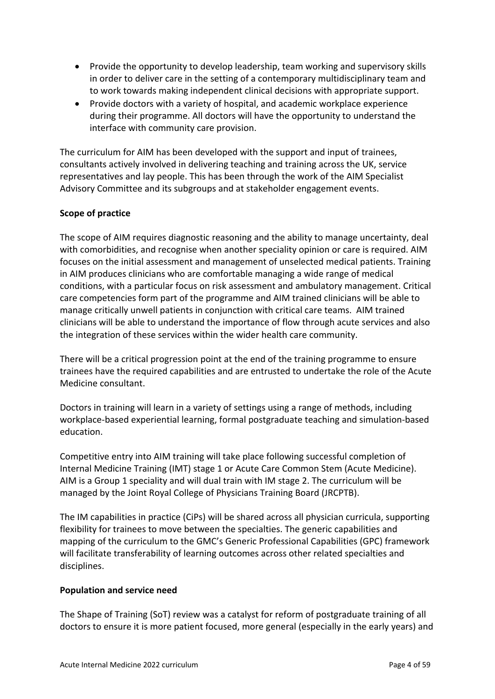- Provide the opportunity to develop leadership, team working and supervisory skills in order to deliver care in the setting of a contemporary multidisciplinary team and to work towards making independent clinical decisions with appropriate support.
- Provide doctors with a variety of hospital, and academic workplace experience during their programme. All doctors will have the opportunity to understand the interface with community care provision.

The curriculum for AIM has been developed with the support and input of trainees, consultants actively involved in delivering teaching and training across the UK, service representatives and lay people. This has been through the work of the AIM Specialist Advisory Committee and its subgroups and at stakeholder engagement events.

## **Scope of practice**

The scope of AIM requires diagnostic reasoning and the ability to manage uncertainty, deal with comorbidities, and recognise when another speciality opinion or care is required. AIM focuses on the initial assessment and management of unselected medical patients. Training in AIM produces clinicians who are comfortable managing a wide range of medical conditions, with a particular focus on risk assessment and ambulatory management. Critical care competencies form part of the programme and AIM trained clinicians will be able to manage critically unwell patients in conjunction with critical care teams. AIM trained clinicians will be able to understand the importance of flow through acute services and also the integration of these services within the wider health care community.

There will be a critical progression point at the end of the training programme to ensure trainees have the required capabilities and are entrusted to undertake the role of the Acute Medicine consultant.

Doctors in training will learn in a variety of settings using a range of methods, including workplace-based experiential learning, formal postgraduate teaching and simulation-based education.

Competitive entry into AIM training will take place following successful completion of Internal Medicine Training (IMT) stage 1 or Acute Care Common Stem (Acute Medicine). AIM is a Group 1 speciality and will dual train with IM stage 2. The curriculum will be managed by the Joint Royal College of Physicians Training Board (JRCPTB).

The IM capabilities in practice (CiPs) will be shared across all physician curricula, supporting flexibility for trainees to move between the specialties. The generic capabilities and mapping of the curriculum to the GMC's Generic Professional Capabilities (GPC) framework will facilitate transferability of learning outcomes across other related specialties and disciplines.

### **Population and service need**

The Shape of Training (SoT) review was a catalyst for reform of postgraduate training of all doctors to ensure it is more patient focused, more general (especially in the early years) and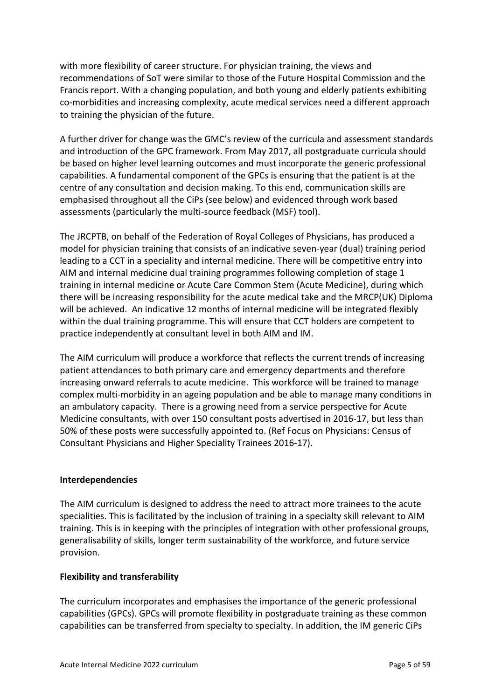with more flexibility of career structure. For physician training, the views and recommendations of SoT were similar to those of the Future Hospital Commission and the Francis report. With a changing population, and both young and elderly patients exhibiting co-morbidities and increasing complexity, acute medical services need a different approach to training the physician of the future.

A further driver for change was the GMC's review of the curricula and assessment standards and introduction of the GPC framework. From May 2017, all postgraduate curricula should be based on higher level learning outcomes and must incorporate the generic professional capabilities. A fundamental component of the GPCs is ensuring that the patient is at the centre of any consultation and decision making. To this end, communication skills are emphasised throughout all the CiPs (see below) and evidenced through work based assessments (particularly the multi-source feedback (MSF) tool).

The JRCPTB, on behalf of the Federation of Royal Colleges of Physicians, has produced a model for physician training that consists of an indicative seven-year (dual) training period leading to a CCT in a speciality and internal medicine. There will be competitive entry into AIM and internal medicine dual training programmes following completion of stage 1 training in internal medicine or Acute Care Common Stem (Acute Medicine), during which there will be increasing responsibility for the acute medical take and the MRCP(UK) Diploma will be achieved. An indicative 12 months of internal medicine will be integrated flexibly within the dual training programme. This will ensure that CCT holders are competent to practice independently at consultant level in both AIM and IM.

The AIM curriculum will produce a workforce that reflects the current trends of increasing patient attendances to both primary care and emergency departments and therefore increasing onward referrals to acute medicine. This workforce will be trained to manage complex multi-morbidity in an ageing population and be able to manage many conditions in an ambulatory capacity. There is a growing need from a service perspective for Acute Medicine consultants, with over 150 consultant posts advertised in 2016-17, but less than 50% of these posts were successfully appointed to. (Ref Focus on Physicians: Census of Consultant Physicians and Higher Speciality Trainees 2016-17).

### **Interdependencies**

The AIM curriculum is designed to address the need to attract more trainees to the acute specialities. This is facilitated by the inclusion of training in a specialty skill relevant to AIM training. This is in keeping with the principles of integration with other professional groups, generalisability of skills, longer term sustainability of the workforce, and future service provision.

### **Flexibility and transferability**

The curriculum incorporates and emphasises the importance of the generic professional capabilities (GPCs). GPCs will promote flexibility in postgraduate training as these common capabilities can be transferred from specialty to specialty. In addition, the IM generic CiPs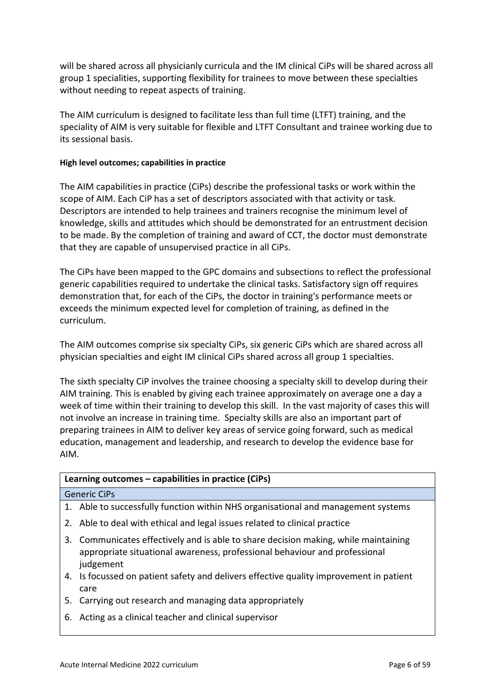will be shared across all physicianly curricula and the IM clinical CiPs will be shared across all group 1 specialities, supporting flexibility for trainees to move between these specialties without needing to repeat aspects of training.

The AIM curriculum is designed to facilitate less than full time (LTFT) training, and the speciality of AIM is very suitable for flexible and LTFT Consultant and trainee working due to its sessional basis.

### **High level outcomes; capabilities in practice**

The AIM capabilities in practice (CiPs) describe the professional tasks or work within the scope of AIM. Each CiP has a set of descriptors associated with that activity or task. Descriptors are intended to help trainees and trainers recognise the minimum level of knowledge, skills and attitudes which should be demonstrated for an entrustment decision to be made. By the completion of training and award of CCT, the doctor must demonstrate that they are capable of unsupervised practice in all CiPs.

The CiPs have been mapped to the GPC domains and subsections to reflect the professional generic capabilities required to undertake the clinical tasks. Satisfactory sign off requires demonstration that, for each of the CiPs, the doctor in training's performance meets or exceeds the minimum expected level for completion of training, as defined in the curriculum.

The AIM outcomes comprise six specialty CiPs, six generic CiPs which are shared across all physician specialties and eight IM clinical CiPs shared across all group 1 specialties.

The sixth specialty CiP involves the trainee choosing a specialty skill to develop during their AIM training. This is enabled by giving each trainee approximately on average one a day a week of time within their training to develop this skill. In the vast majority of cases this will not involve an increase in training time. Specialty skills are also an important part of preparing trainees in AIM to deliver key areas of service going forward, such as medical education, management and leadership, and research to develop the evidence base for AIM.

### **Learning outcomes – capabilities in practice (CiPs)**

#### Generic CiPs

- 1. Able to successfully function within NHS organisational and management systems
- 2. Able to deal with ethical and legal issues related to clinical practice
- 3. Communicates effectively and is able to share decision making, while maintaining appropriate situational awareness, professional behaviour and professional judgement
- 4. Is focussed on patient safety and delivers effective quality improvement in patient care
- 5. Carrying out research and managing data appropriately
- 6. Acting as a clinical teacher and clinical supervisor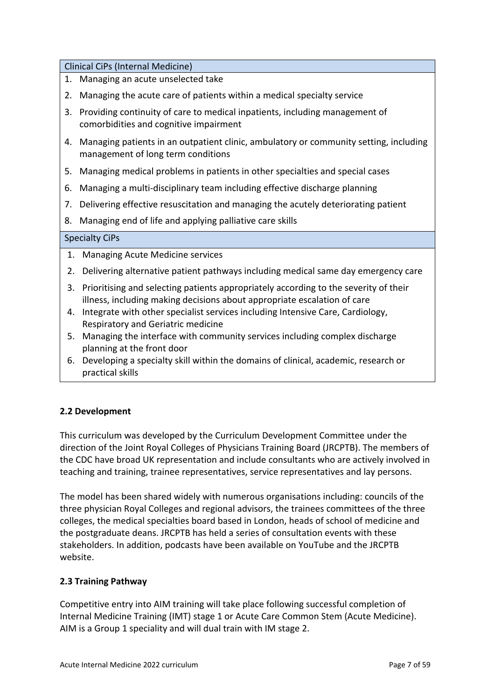Clinical CiPs (Internal Medicine)

- 1. Managing an acute unselected take
- 2. Managing the acute care of patients within a medical specialty service
- 3. Providing continuity of care to medical inpatients, including management of comorbidities and cognitive impairment
- 4. Managing patients in an outpatient clinic, ambulatory or community setting, including management of long term conditions
- 5. Managing medical problems in patients in other specialties and special cases
- 6. Managing a multi-disciplinary team including effective discharge planning
- 7. Delivering effective resuscitation and managing the acutely deteriorating patient
- 8. Managing end of life and applying palliative care skills

## Specialty CiPs

- 1. Managing Acute Medicine services
- 2. Delivering alternative patient pathways including medical same day emergency care
- 3. Prioritising and selecting patients appropriately according to the severity of their illness, including making decisions about appropriate escalation of care
- 4. Integrate with other specialist services including Intensive Care, Cardiology, Respiratory and Geriatric medicine
- 5. Managing the interface with community services including complex discharge planning at the front door
- 6. Developing a specialty skill within the domains of clinical, academic, research or practical skills

## <span id="page-6-0"></span>**2.2 Development**

This curriculum was developed by the Curriculum Development Committee under the direction of the Joint Royal Colleges of Physicians Training Board (JRCPTB). The members of the CDC have broad UK representation and include consultants who are actively involved in teaching and training, trainee representatives, service representatives and lay persons.

The model has been shared widely with numerous organisations including: councils of the three physician Royal Colleges and regional advisors, the trainees committees of the three colleges, the medical specialties board based in London, heads of school of medicine and the postgraduate deans. JRCPTB has held a series of consultation events with these stakeholders. In addition, podcasts have been available on YouTube and the JRCPTB website.

## <span id="page-6-1"></span>**2.3 Training Pathway**

Competitive entry into AIM training will take place following successful completion of Internal Medicine Training (IMT) stage 1 or Acute Care Common Stem (Acute Medicine). AIM is a Group 1 speciality and will dual train with IM stage 2.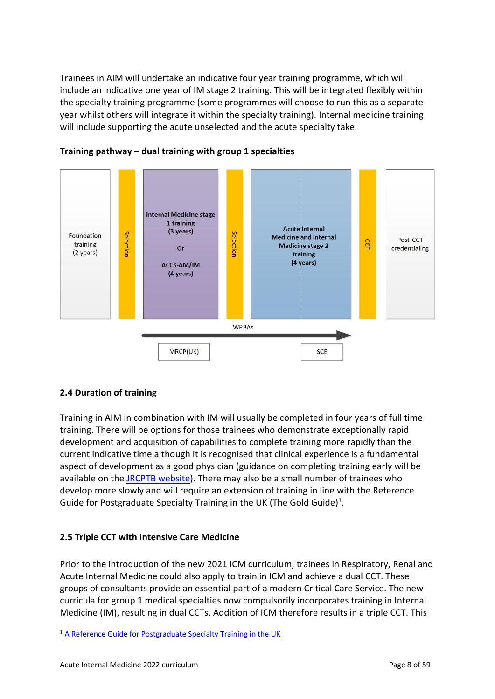Trainees in AIM will undertake an indicative four year training programme, which will include an indicative one year of IM stage 2 training. This will be integrated flexibly within the specialty training programme (some programmes will choose to run this as a separate year whilst others will integrate it within the specialty training). Internal medicine training will include supporting the acute unselected and the acute specialty take.



## **Training pathway – dual training with group 1 specialties**

### <span id="page-7-0"></span>**2.4 Duration of training**

Training in AIM in combination with IM will usually be completed in four years of full time training. There will be options for those trainees who demonstrate exceptionally rapid development and acquisition of capabilities to complete training more rapidly than the current indicative time although it is recognised that clinical experience is a fundamental aspect of development as a good physician (guidance on completing training early will be available on the [JRCPTB website\)](http://www.jrcptb.org.uk/). There may also be a small number of trainees who develop more slowly and will require an extension of training in line with the Reference Guide for Postgraduate Specialty Training in the UK (The Gold Guide)<sup>1</sup>.

## <span id="page-7-1"></span>**2.5 Triple CCT with Intensive Care Medicine**

Prior to the introduction of the new 2021 ICM curriculum, trainees in Respiratory, Renal and Acute Internal Medicine could also apply to train in ICM and achieve a dual CCT. These groups of consultants provide an essential part of a modern Critical Care Service. The new curricula for group 1 medical specialties now compulsorily incorporates training in Internal Medicine (IM), resulting in dual CCTs. Addition of ICM therefore results in a triple CCT. This

<sup>&</sup>lt;sup>1</sup> [A Reference Guide for Postgraduate Specialty Training in the UK](https://www.copmed.org.uk/publications/the-gold-guide)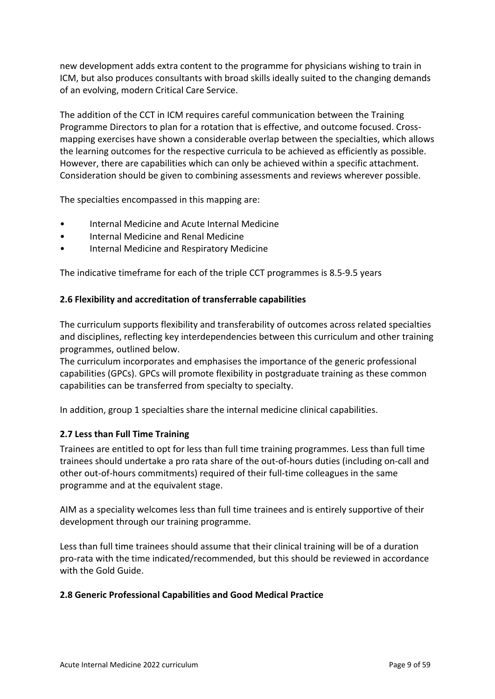new development adds extra content to the programme for physicians wishing to train in ICM, but also produces consultants with broad skills ideally suited to the changing demands of an evolving, modern Critical Care Service.

The addition of the CCT in ICM requires careful communication between the Training Programme Directors to plan for a rotation that is effective, and outcome focused. Crossmapping exercises have shown a considerable overlap between the specialties, which allows the learning outcomes for the respective curricula to be achieved as efficiently as possible. However, there are capabilities which can only be achieved within a specific attachment. Consideration should be given to combining assessments and reviews wherever possible.

The specialties encompassed in this mapping are:

- Internal Medicine and Acute Internal Medicine
- Internal Medicine and Renal Medicine
- Internal Medicine and Respiratory Medicine

The indicative timeframe for each of the triple CCT programmes is 8.5-9.5 years

### <span id="page-8-0"></span>**2.6 Flexibility and accreditation of transferrable capabilities**

The curriculum supports flexibility and transferability of outcomes across related specialties and disciplines, reflecting key interdependencies between this curriculum and other training programmes, outlined below.

The curriculum incorporates and emphasises the importance of the generic professional capabilities (GPCs). GPCs will promote flexibility in postgraduate training as these common capabilities can be transferred from specialty to specialty.

In addition, group 1 specialties share the internal medicine clinical capabilities.

### <span id="page-8-1"></span>**2.7 Less than Full Time Training**

Trainees are entitled to opt for less than full time training programmes. Less than full time trainees should undertake a pro rata share of the out-of-hours duties (including on-call and other out-of-hours commitments) required of their full-time colleagues in the same programme and at the equivalent stage.

AIM as a speciality welcomes less than full time trainees and is entirely supportive of their development through our training programme.

Less than full time trainees should assume that their clinical training will be of a duration pro-rata with the time indicated/recommended, but this should be reviewed in accordance with the Gold Guide.

### <span id="page-8-2"></span>**2.8 Generic Professional Capabilities and Good Medical Practice**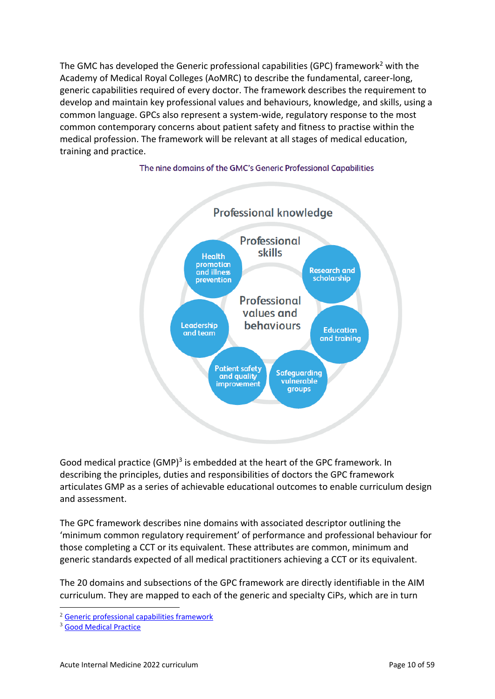The GMC has developed the Generic professional capabilities (GPC) framework<sup>2</sup> with the Academy of Medical Royal Colleges (AoMRC) to describe the fundamental, career-long, generic capabilities required of every doctor. The framework describes the requirement to develop and maintain key professional values and behaviours, knowledge, and skills, using a common language. GPCs also represent a system-wide, regulatory response to the most common contemporary concerns about patient safety and fitness to practise within the medical profession. The framework will be relevant at all stages of medical education, training and practice.



#### The nine domains of the GMC's Generic Professional Capabilities

Good medical practice (GMP)<sup>3</sup> is embedded at the heart of the GPC framework. In describing the principles, duties and responsibilities of doctors the GPC framework articulates GMP as a series of achievable educational outcomes to enable curriculum design and assessment.

The GPC framework describes nine domains with associated descriptor outlining the 'minimum common regulatory requirement' of performance and professional behaviour for those completing a CCT or its equivalent. These attributes are common, minimum and generic standards expected of all medical practitioners achieving a CCT or its equivalent.

The 20 domains and subsections of the GPC framework are directly identifiable in the AIM curriculum. They are mapped to each of the generic and specialty CiPs, which are in turn

<sup>2</sup> [Generic professional capabilities framework](http://www.gmc-uk.org/education/postgraduate/GPC.asp)

<sup>3</sup> [Good Medical Practice](http://www.gmc-uk.org/guidance/good_medical_practice.asp)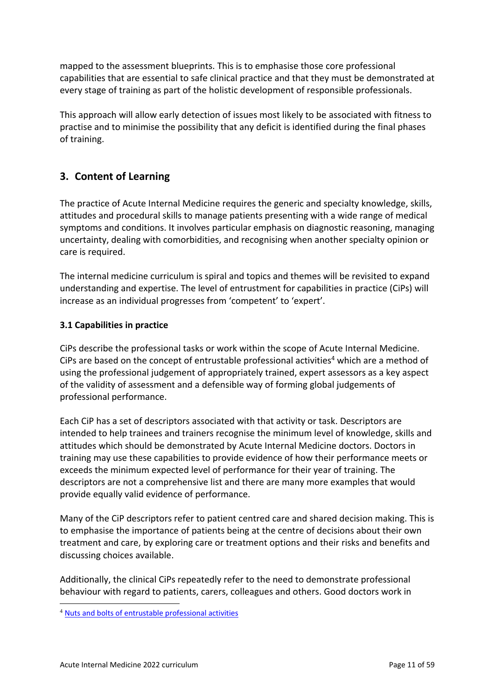mapped to the assessment blueprints. This is to emphasise those core professional capabilities that are essential to safe clinical practice and that they must be demonstrated at every stage of training as part of the holistic development of responsible professionals.

This approach will allow early detection of issues most likely to be associated with fitness to practise and to minimise the possibility that any deficit is identified during the final phases of training.

# <span id="page-10-0"></span>**3. Content of Learning**

The practice of Acute Internal Medicine requires the generic and specialty knowledge, skills, attitudes and procedural skills to manage patients presenting with a wide range of medical symptoms and conditions. It involves particular emphasis on diagnostic reasoning, managing uncertainty, dealing with comorbidities, and recognising when another specialty opinion or care is required.

The internal medicine curriculum is spiral and topics and themes will be revisited to expand understanding and expertise. The level of entrustment for capabilities in practice (CiPs) will increase as an individual progresses from 'competent' to 'expert'.

## <span id="page-10-1"></span>**3.1 Capabilities in practice**

CiPs describe the professional tasks or work within the scope of Acute Internal Medicine. CiPs are based on the concept of entrustable professional activities<sup>4</sup> which are a method of using the professional judgement of appropriately trained, expert assessors as a key aspect of the validity of assessment and a defensible way of forming global judgements of professional performance.

Each CiP has a set of descriptors associated with that activity or task. Descriptors are intended to help trainees and trainers recognise the minimum level of knowledge, skills and attitudes which should be demonstrated by Acute Internal Medicine doctors. Doctors in training may use these capabilities to provide evidence of how their performance meets or exceeds the minimum expected level of performance for their year of training. The descriptors are not a comprehensive list and there are many more examples that would provide equally valid evidence of performance.

Many of the CiP descriptors refer to patient centred care and shared decision making. This is to emphasise the importance of patients being at the centre of decisions about their own treatment and care, by exploring care or treatment options and their risks and benefits and discussing choices available.

Additionally, the clinical CiPs repeatedly refer to the need to demonstrate professional behaviour with regard to patients, carers, colleagues and others. Good doctors work in

<sup>4</sup> [Nuts and bolts of entrustable professional activities](https://www.ncbi.nlm.nih.gov/pmc/articles/PMC3613304/)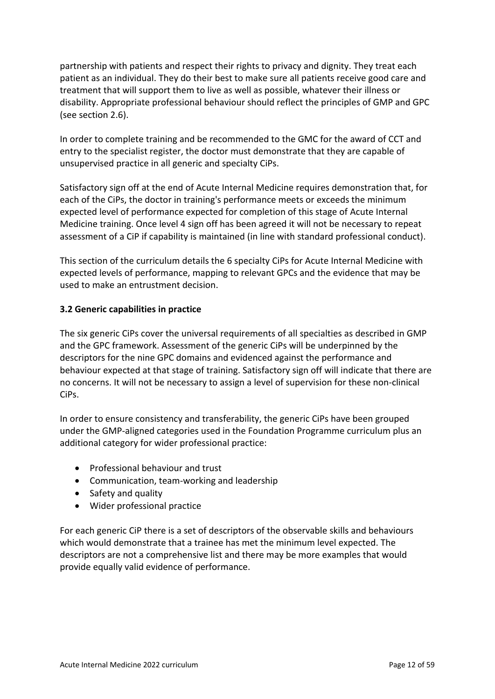partnership with patients and respect their rights to privacy and dignity. They treat each patient as an individual. They do their best to make sure all patients receive good care and treatment that will support them to live as well as possible, whatever their illness or disability. Appropriate professional behaviour should reflect the principles of GMP and GPC (see section 2.6).

In order to complete training and be recommended to the GMC for the award of CCT and entry to the specialist register, the doctor must demonstrate that they are capable of unsupervised practice in all generic and specialty CiPs.

Satisfactory sign off at the end of Acute Internal Medicine requires demonstration that, for each of the CiPs, the doctor in training's performance meets or exceeds the minimum expected level of performance expected for completion of this stage of Acute Internal Medicine training. Once level 4 sign off has been agreed it will not be necessary to repeat assessment of a CiP if capability is maintained (in line with standard professional conduct).

This section of the curriculum details the 6 specialty CiPs for Acute Internal Medicine with expected levels of performance, mapping to relevant GPCs and the evidence that may be used to make an entrustment decision.

## <span id="page-11-0"></span>**3.2 Generic capabilities in practice**

The six generic CiPs cover the universal requirements of all specialties as described in GMP and the GPC framework. Assessment of the generic CiPs will be underpinned by the descriptors for the nine GPC domains and evidenced against the performance and behaviour expected at that stage of training. Satisfactory sign off will indicate that there are no concerns. It will not be necessary to assign a level of supervision for these non-clinical CiPs.

In order to ensure consistency and transferability, the generic CiPs have been grouped under the GMP-aligned categories used in the Foundation Programme curriculum plus an additional category for wider professional practice:

- Professional behaviour and trust
- Communication, team-working and leadership
- Safety and quality
- Wider professional practice

For each generic CiP there is a set of descriptors of the observable skills and behaviours which would demonstrate that a trainee has met the minimum level expected. The descriptors are not a comprehensive list and there may be more examples that would provide equally valid evidence of performance.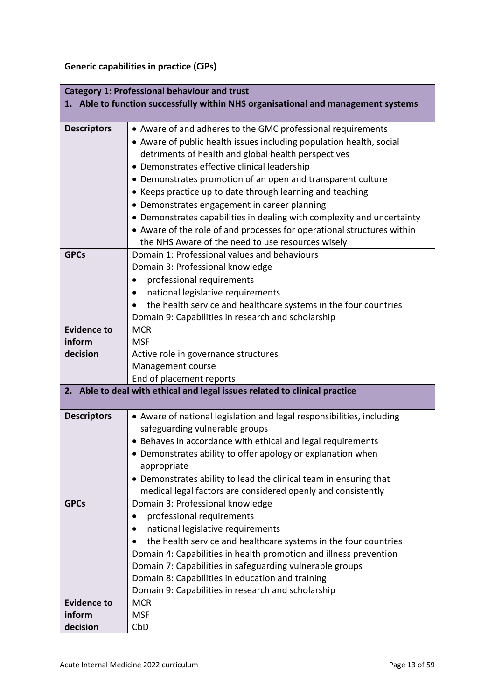|                                                                                   | <b>Generic capabilities in practice (CiPs)</b>                                                                                                                                                                                                                                                                                                                                                                                                                                                                                                                                                                                                                                 |  |
|-----------------------------------------------------------------------------------|--------------------------------------------------------------------------------------------------------------------------------------------------------------------------------------------------------------------------------------------------------------------------------------------------------------------------------------------------------------------------------------------------------------------------------------------------------------------------------------------------------------------------------------------------------------------------------------------------------------------------------------------------------------------------------|--|
|                                                                                   | <b>Category 1: Professional behaviour and trust</b>                                                                                                                                                                                                                                                                                                                                                                                                                                                                                                                                                                                                                            |  |
| 1. Able to function successfully within NHS organisational and management systems |                                                                                                                                                                                                                                                                                                                                                                                                                                                                                                                                                                                                                                                                                |  |
| <b>Descriptors</b><br><b>GPCs</b>                                                 | • Aware of and adheres to the GMC professional requirements<br>• Aware of public health issues including population health, social<br>detriments of health and global health perspectives<br>• Demonstrates effective clinical leadership<br>• Demonstrates promotion of an open and transparent culture<br>• Keeps practice up to date through learning and teaching<br>• Demonstrates engagement in career planning<br>• Demonstrates capabilities in dealing with complexity and uncertainty<br>• Aware of the role of and processes for operational structures within<br>the NHS Aware of the need to use resources wisely<br>Domain 1: Professional values and behaviours |  |
| <b>Evidence to</b>                                                                | Domain 3: Professional knowledge<br>professional requirements<br>national legislative requirements<br>the health service and healthcare systems in the four countries<br>Domain 9: Capabilities in research and scholarship<br><b>MCR</b>                                                                                                                                                                                                                                                                                                                                                                                                                                      |  |
| inform<br>decision                                                                | <b>MSF</b><br>Active role in governance structures<br>Management course<br>End of placement reports                                                                                                                                                                                                                                                                                                                                                                                                                                                                                                                                                                            |  |
|                                                                                   | 2. Able to deal with ethical and legal issues related to clinical practice                                                                                                                                                                                                                                                                                                                                                                                                                                                                                                                                                                                                     |  |
| <b>Descriptors</b>                                                                | • Aware of national legislation and legal responsibilities, including<br>safeguarding vulnerable groups<br>• Behaves in accordance with ethical and legal requirements<br>• Demonstrates ability to offer apology or explanation when<br>appropriate<br>• Demonstrates ability to lead the clinical team in ensuring that<br>medical legal factors are considered openly and consistently                                                                                                                                                                                                                                                                                      |  |
| <b>GPCs</b>                                                                       | Domain 3: Professional knowledge<br>professional requirements<br>national legislative requirements<br>the health service and healthcare systems in the four countries<br>$\bullet$<br>Domain 4: Capabilities in health promotion and illness prevention<br>Domain 7: Capabilities in safeguarding vulnerable groups<br>Domain 8: Capabilities in education and training<br>Domain 9: Capabilities in research and scholarship                                                                                                                                                                                                                                                  |  |
| <b>Evidence to</b><br>inform<br>decision                                          | <b>MCR</b><br><b>MSF</b><br>CbD                                                                                                                                                                                                                                                                                                                                                                                                                                                                                                                                                                                                                                                |  |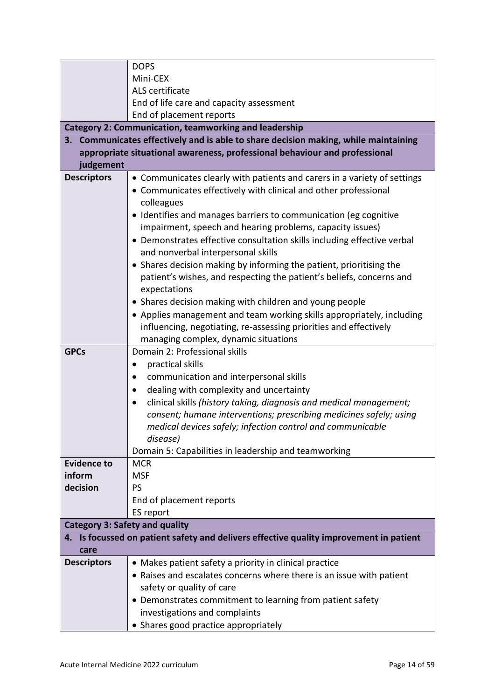|                                                                                     | <b>DOPS</b>                                                                            |  |
|-------------------------------------------------------------------------------------|----------------------------------------------------------------------------------------|--|
|                                                                                     | Mini-CEX                                                                               |  |
|                                                                                     | ALS certificate                                                                        |  |
|                                                                                     | End of life care and capacity assessment                                               |  |
|                                                                                     | End of placement reports                                                               |  |
|                                                                                     | <b>Category 2: Communication, teamworking and leadership</b>                           |  |
| 3. Communicates effectively and is able to share decision making, while maintaining |                                                                                        |  |
|                                                                                     | appropriate situational awareness, professional behaviour and professional             |  |
| judgement                                                                           |                                                                                        |  |
| <b>Descriptors</b>                                                                  | • Communicates clearly with patients and carers in a variety of settings               |  |
|                                                                                     | • Communicates effectively with clinical and other professional                        |  |
|                                                                                     | colleagues                                                                             |  |
|                                                                                     | • Identifies and manages barriers to communication (eg cognitive                       |  |
|                                                                                     | impairment, speech and hearing problems, capacity issues)                              |  |
|                                                                                     | • Demonstrates effective consultation skills including effective verbal                |  |
|                                                                                     | and nonverbal interpersonal skills                                                     |  |
|                                                                                     | • Shares decision making by informing the patient, prioritising the                    |  |
|                                                                                     | patient's wishes, and respecting the patient's beliefs, concerns and                   |  |
|                                                                                     | expectations                                                                           |  |
|                                                                                     | • Shares decision making with children and young people                                |  |
|                                                                                     | • Applies management and team working skills appropriately, including                  |  |
|                                                                                     | influencing, negotiating, re-assessing priorities and effectively                      |  |
|                                                                                     | managing complex, dynamic situations                                                   |  |
| <b>GPCs</b>                                                                         | Domain 2: Professional skills                                                          |  |
|                                                                                     | practical skills                                                                       |  |
|                                                                                     | communication and interpersonal skills                                                 |  |
|                                                                                     | dealing with complexity and uncertainty<br>$\bullet$                                   |  |
|                                                                                     | clinical skills (history taking, diagnosis and medical management;                     |  |
|                                                                                     | consent; humane interventions; prescribing medicines safely; using                     |  |
|                                                                                     | medical devices safely; infection control and communicable                             |  |
|                                                                                     | disease)                                                                               |  |
|                                                                                     | Domain 5: Capabilities in leadership and teamworking                                   |  |
| <b>Evidence to</b>                                                                  | <b>MCR</b>                                                                             |  |
| inform                                                                              | <b>MSF</b>                                                                             |  |
| decision                                                                            | PS                                                                                     |  |
|                                                                                     | End of placement reports                                                               |  |
|                                                                                     | ES report                                                                              |  |
| <b>Category 3: Safety and quality</b>                                               |                                                                                        |  |
|                                                                                     | 4. Is focussed on patient safety and delivers effective quality improvement in patient |  |
| care                                                                                |                                                                                        |  |
| <b>Descriptors</b>                                                                  | • Makes patient safety a priority in clinical practice                                 |  |
|                                                                                     | • Raises and escalates concerns where there is an issue with patient                   |  |
|                                                                                     | safety or quality of care                                                              |  |
|                                                                                     | • Demonstrates commitment to learning from patient safety                              |  |
|                                                                                     | investigations and complaints                                                          |  |
|                                                                                     | • Shares good practice appropriately                                                   |  |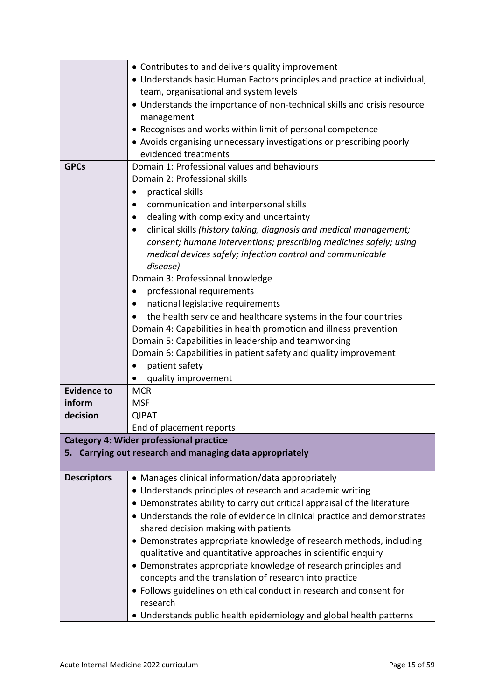|                    | • Contributes to and delivers quality improvement                               |
|--------------------|---------------------------------------------------------------------------------|
|                    | • Understands basic Human Factors principles and practice at individual,        |
|                    | team, organisational and system levels                                          |
|                    | • Understands the importance of non-technical skills and crisis resource        |
|                    | management                                                                      |
|                    | • Recognises and works within limit of personal competence                      |
|                    | • Avoids organising unnecessary investigations or prescribing poorly            |
|                    | evidenced treatments                                                            |
| <b>GPCs</b>        | Domain 1: Professional values and behaviours                                    |
|                    | Domain 2: Professional skills                                                   |
|                    |                                                                                 |
|                    | practical skills                                                                |
|                    | communication and interpersonal skills                                          |
|                    | dealing with complexity and uncertainty<br>$\bullet$                            |
|                    | clinical skills (history taking, diagnosis and medical management;<br>$\bullet$ |
|                    | consent; humane interventions; prescribing medicines safely; using              |
|                    | medical devices safely; infection control and communicable                      |
|                    | disease)                                                                        |
|                    | Domain 3: Professional knowledge                                                |
|                    | professional requirements                                                       |
|                    | national legislative requirements                                               |
|                    | the health service and healthcare systems in the four countries                 |
|                    | Domain 4: Capabilities in health promotion and illness prevention               |
|                    | Domain 5: Capabilities in leadership and teamworking                            |
|                    | Domain 6: Capabilities in patient safety and quality improvement                |
|                    | patient safety                                                                  |
|                    | quality improvement                                                             |
| <b>Evidence to</b> | <b>MCR</b>                                                                      |
| inform             | <b>MSF</b>                                                                      |
| decision           | <b>QIPAT</b>                                                                    |
|                    | End of placement reports                                                        |
|                    | <b>Category 4: Wider professional practice</b>                                  |
|                    | 5. Carrying out research and managing data appropriately                        |
|                    |                                                                                 |
| <b>Descriptors</b> | • Manages clinical information/data appropriately                               |
|                    | • Understands principles of research and academic writing                       |
|                    | • Demonstrates ability to carry out critical appraisal of the literature        |
|                    | • Understands the role of evidence in clinical practice and demonstrates        |
|                    | shared decision making with patients                                            |
|                    | • Demonstrates appropriate knowledge of research methods, including             |
|                    | qualitative and quantitative approaches in scientific enquiry                   |
|                    | • Demonstrates appropriate knowledge of research principles and                 |
|                    | concepts and the translation of research into practice                          |
|                    | • Follows guidelines on ethical conduct in research and consent for             |
|                    | research                                                                        |
|                    | • Understands public health epidemiology and global health patterns             |
|                    |                                                                                 |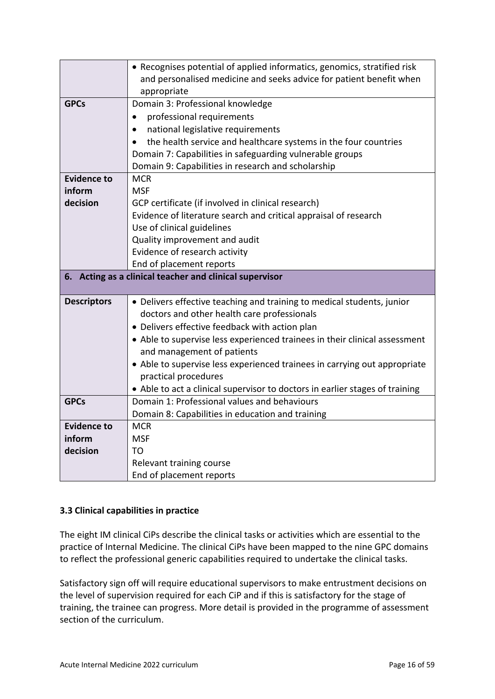|                                                         | • Recognises potential of applied informatics, genomics, stratified risk<br>and personalised medicine and seeks advice for patient benefit when |  |
|---------------------------------------------------------|-------------------------------------------------------------------------------------------------------------------------------------------------|--|
|                                                         | appropriate                                                                                                                                     |  |
| <b>GPCs</b>                                             | Domain 3: Professional knowledge                                                                                                                |  |
|                                                         | professional requirements<br>٠                                                                                                                  |  |
|                                                         | national legislative requirements<br>$\bullet$                                                                                                  |  |
|                                                         | the health service and healthcare systems in the four countries<br>$\bullet$                                                                    |  |
|                                                         | Domain 7: Capabilities in safeguarding vulnerable groups                                                                                        |  |
|                                                         | Domain 9: Capabilities in research and scholarship                                                                                              |  |
| <b>Evidence to</b>                                      | <b>MCR</b>                                                                                                                                      |  |
| inform                                                  | <b>MSF</b>                                                                                                                                      |  |
| decision                                                | GCP certificate (if involved in clinical research)                                                                                              |  |
|                                                         | Evidence of literature search and critical appraisal of research                                                                                |  |
|                                                         | Use of clinical guidelines                                                                                                                      |  |
|                                                         | Quality improvement and audit                                                                                                                   |  |
|                                                         | Evidence of research activity                                                                                                                   |  |
|                                                         | End of placement reports                                                                                                                        |  |
| 6. Acting as a clinical teacher and clinical supervisor |                                                                                                                                                 |  |
|                                                         |                                                                                                                                                 |  |
| <b>Descriptors</b>                                      | • Delivers effective teaching and training to medical students, junior                                                                          |  |
|                                                         | doctors and other health care professionals                                                                                                     |  |
|                                                         | • Delivers effective feedback with action plan                                                                                                  |  |
|                                                         | • Able to supervise less experienced trainees in their clinical assessment                                                                      |  |
|                                                         | and management of patients                                                                                                                      |  |
|                                                         | • Able to supervise less experienced trainees in carrying out appropriate                                                                       |  |
|                                                         | practical procedures                                                                                                                            |  |
|                                                         | • Able to act a clinical supervisor to doctors in earlier stages of training                                                                    |  |
| <b>GPCs</b>                                             | Domain 1: Professional values and behaviours                                                                                                    |  |
|                                                         | Domain 8: Capabilities in education and training                                                                                                |  |
| <b>Evidence to</b>                                      | <b>MCR</b>                                                                                                                                      |  |
| inform                                                  | <b>MSF</b>                                                                                                                                      |  |
| decision                                                | TΟ                                                                                                                                              |  |
|                                                         | Relevant training course                                                                                                                        |  |

## <span id="page-15-0"></span>**3.3 Clinical capabilities in practice**

The eight IM clinical CiPs describe the clinical tasks or activities which are essential to the practice of Internal Medicine. The clinical CiPs have been mapped to the nine GPC domains to reflect the professional generic capabilities required to undertake the clinical tasks.

Satisfactory sign off will require educational supervisors to make entrustment decisions on the level of supervision required for each CiP and if this is satisfactory for the stage of training, the trainee can progress. More detail is provided in the programme of assessment section of the curriculum.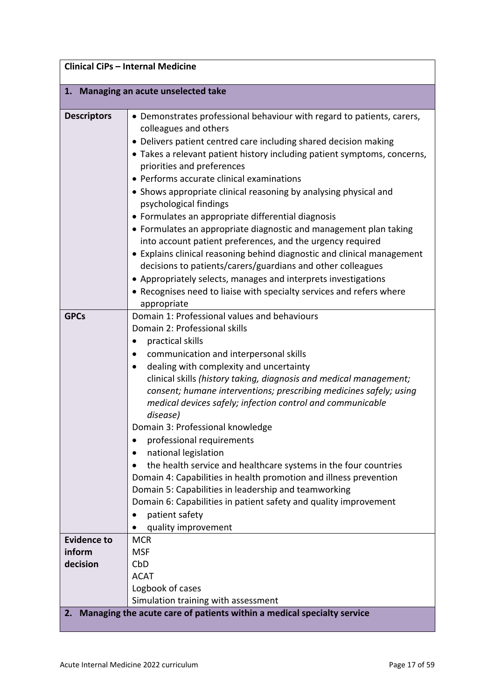| <b>Clinical CiPs - Internal Medicine</b> |                                                                                                                                                                                                                                                                                                                                                                                                                                                                                                                                                                                                                                                                                                                                                                                                                                                                                                                      |
|------------------------------------------|----------------------------------------------------------------------------------------------------------------------------------------------------------------------------------------------------------------------------------------------------------------------------------------------------------------------------------------------------------------------------------------------------------------------------------------------------------------------------------------------------------------------------------------------------------------------------------------------------------------------------------------------------------------------------------------------------------------------------------------------------------------------------------------------------------------------------------------------------------------------------------------------------------------------|
|                                          | 1. Managing an acute unselected take                                                                                                                                                                                                                                                                                                                                                                                                                                                                                                                                                                                                                                                                                                                                                                                                                                                                                 |
| <b>Descriptors</b>                       | • Demonstrates professional behaviour with regard to patients, carers,<br>colleagues and others<br>• Delivers patient centred care including shared decision making<br>• Takes a relevant patient history including patient symptoms, concerns,<br>priorities and preferences<br>• Performs accurate clinical examinations<br>• Shows appropriate clinical reasoning by analysing physical and<br>psychological findings<br>• Formulates an appropriate differential diagnosis<br>• Formulates an appropriate diagnostic and management plan taking<br>into account patient preferences, and the urgency required<br>• Explains clinical reasoning behind diagnostic and clinical management<br>decisions to patients/carers/guardians and other colleagues<br>• Appropriately selects, manages and interprets investigations<br>• Recognises need to liaise with specialty services and refers where<br>appropriate |
| <b>GPCs</b>                              | Domain 1: Professional values and behaviours<br>Domain 2: Professional skills<br>practical skills<br>communication and interpersonal skills<br>dealing with complexity and uncertainty<br>clinical skills (history taking, diagnosis and medical management;<br>consent; humane interventions; prescribing medicines safely; using<br>medical devices safely; infection control and communicable<br>disease)<br>Domain 3: Professional knowledge<br>professional requirements<br>٠<br>national legislation<br>the health service and healthcare systems in the four countries<br>Domain 4: Capabilities in health promotion and illness prevention<br>Domain 5: Capabilities in leadership and teamworking<br>Domain 6: Capabilities in patient safety and quality improvement<br>patient safety<br>$\bullet$<br>quality improvement                                                                                 |
| <b>Evidence to</b><br>inform<br>decision | <b>MCR</b><br><b>MSF</b><br>CbD<br><b>ACAT</b><br>Logbook of cases                                                                                                                                                                                                                                                                                                                                                                                                                                                                                                                                                                                                                                                                                                                                                                                                                                                   |
| 2.                                       | Simulation training with assessment<br>Managing the acute care of patients within a medical specialty service                                                                                                                                                                                                                                                                                                                                                                                                                                                                                                                                                                                                                                                                                                                                                                                                        |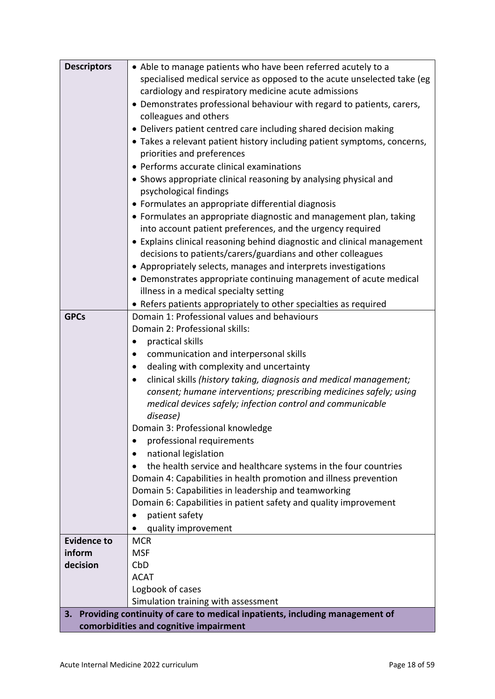| <b>Descriptors</b>                     | • Able to manage patients who have been referred acutely to a               |
|----------------------------------------|-----------------------------------------------------------------------------|
|                                        | specialised medical service as opposed to the acute unselected take (eg     |
|                                        | cardiology and respiratory medicine acute admissions                        |
|                                        | • Demonstrates professional behaviour with regard to patients, carers,      |
|                                        | colleagues and others                                                       |
|                                        | • Delivers patient centred care including shared decision making            |
|                                        | • Takes a relevant patient history including patient symptoms, concerns,    |
|                                        | priorities and preferences                                                  |
|                                        | • Performs accurate clinical examinations                                   |
|                                        | • Shows appropriate clinical reasoning by analysing physical and            |
|                                        | psychological findings                                                      |
|                                        | • Formulates an appropriate differential diagnosis                          |
|                                        | • Formulates an appropriate diagnostic and management plan, taking          |
|                                        | into account patient preferences, and the urgency required                  |
|                                        | • Explains clinical reasoning behind diagnostic and clinical management     |
|                                        | decisions to patients/carers/guardians and other colleagues                 |
|                                        | • Appropriately selects, manages and interprets investigations              |
|                                        | • Demonstrates appropriate continuing management of acute medical           |
|                                        | illness in a medical specialty setting                                      |
|                                        | • Refers patients appropriately to other specialties as required            |
| <b>GPCs</b>                            | Domain 1: Professional values and behaviours                                |
|                                        | Domain 2: Professional skills:                                              |
|                                        | practical skills                                                            |
|                                        | communication and interpersonal skills                                      |
|                                        | dealing with complexity and uncertainty                                     |
|                                        | clinical skills (history taking, diagnosis and medical management;          |
|                                        | consent; humane interventions; prescribing medicines safely; using          |
|                                        | medical devices safely; infection control and communicable                  |
|                                        | disease)                                                                    |
|                                        | Domain 3: Professional knowledge                                            |
|                                        | professional requirements<br>$\bullet$                                      |
|                                        | national legislation                                                        |
|                                        | the health service and healthcare systems in the four countries             |
|                                        | Domain 4: Capabilities in health promotion and illness prevention           |
|                                        | Domain 5: Capabilities in leadership and teamworking                        |
|                                        | Domain 6: Capabilities in patient safety and quality improvement            |
|                                        | patient safety                                                              |
|                                        | quality improvement                                                         |
| <b>Evidence to</b>                     | <b>MCR</b>                                                                  |
| inform                                 | <b>MSF</b>                                                                  |
| decision                               | CbD                                                                         |
|                                        | <b>ACAT</b>                                                                 |
|                                        | Logbook of cases                                                            |
|                                        | Simulation training with assessment                                         |
| 3.                                     | Providing continuity of care to medical inpatients, including management of |
| comorbidities and cognitive impairment |                                                                             |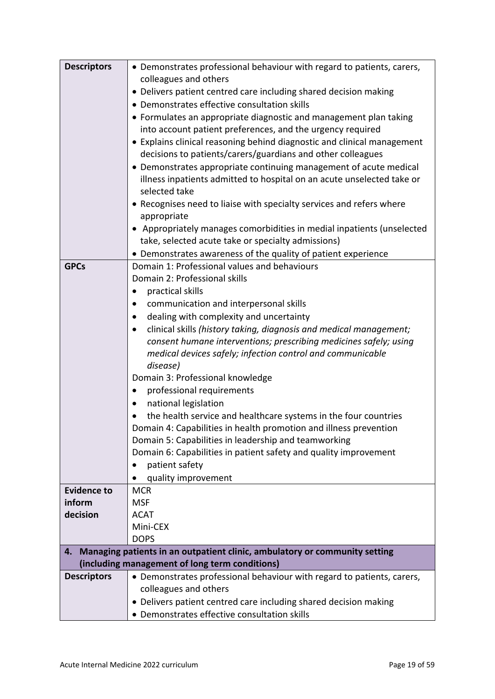| <b>Descriptors</b>           | • Demonstrates professional behaviour with regard to patients, carers,<br>colleagues and others |
|------------------------------|-------------------------------------------------------------------------------------------------|
|                              |                                                                                                 |
|                              | • Delivers patient centred care including shared decision making                                |
|                              | • Demonstrates effective consultation skills                                                    |
|                              | • Formulates an appropriate diagnostic and management plan taking                               |
|                              | into account patient preferences, and the urgency required                                      |
|                              | • Explains clinical reasoning behind diagnostic and clinical management                         |
|                              | decisions to patients/carers/guardians and other colleagues                                     |
|                              | • Demonstrates appropriate continuing management of acute medical                               |
|                              | illness inpatients admitted to hospital on an acute unselected take or                          |
|                              | selected take                                                                                   |
|                              | • Recognises need to liaise with specialty services and refers where                            |
|                              | appropriate                                                                                     |
|                              | • Appropriately manages comorbidities in medial inpatients (unselected                          |
|                              | take, selected acute take or specialty admissions)                                              |
|                              | • Demonstrates awareness of the quality of patient experience                                   |
| <b>GPCs</b>                  | Domain 1: Professional values and behaviours                                                    |
|                              | Domain 2: Professional skills                                                                   |
|                              | practical skills                                                                                |
|                              | communication and interpersonal skills                                                          |
|                              | dealing with complexity and uncertainty                                                         |
|                              | clinical skills (history taking, diagnosis and medical management;                              |
|                              | consent humane interventions; prescribing medicines safely; using                               |
|                              | medical devices safely; infection control and communicable                                      |
|                              | disease)                                                                                        |
|                              | Domain 3: Professional knowledge                                                                |
|                              | professional requirements                                                                       |
|                              | national legislation                                                                            |
|                              | the health service and healthcare systems in the four countries                                 |
|                              | Domain 4: Capabilities in health promotion and illness prevention                               |
|                              | Domain 5: Capabilities in leadership and teamworking                                            |
|                              | Domain 6: Capabilities in patient safety and quality improvement                                |
|                              | patient safety                                                                                  |
|                              | $\bullet$                                                                                       |
|                              | quality improvement                                                                             |
| <b>Evidence to</b><br>inform | <b>MCR</b><br><b>MSF</b>                                                                        |
| decision                     | <b>ACAT</b>                                                                                     |
|                              | Mini-CEX                                                                                        |
|                              | <b>DOPS</b>                                                                                     |
| 4.                           | Managing patients in an outpatient clinic, ambulatory or community setting                      |
|                              | (including management of long term conditions)                                                  |
| <b>Descriptors</b>           | • Demonstrates professional behaviour with regard to patients, carers,                          |
|                              | colleagues and others                                                                           |
|                              |                                                                                                 |
|                              | • Delivers patient centred care including shared decision making                                |
|                              | • Demonstrates effective consultation skills                                                    |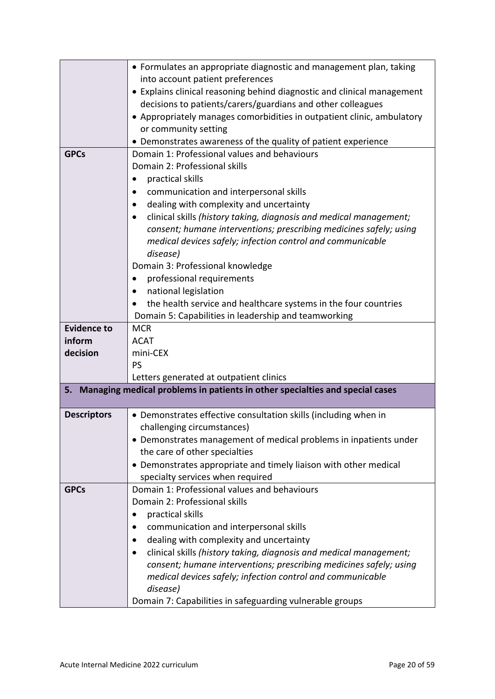|                    | • Formulates an appropriate diagnostic and management plan, taking                                                      |
|--------------------|-------------------------------------------------------------------------------------------------------------------------|
|                    | into account patient preferences                                                                                        |
|                    | • Explains clinical reasoning behind diagnostic and clinical management                                                 |
|                    | decisions to patients/carers/guardians and other colleagues                                                             |
|                    | • Appropriately manages comorbidities in outpatient clinic, ambulatory                                                  |
|                    | or community setting                                                                                                    |
|                    | • Demonstrates awareness of the quality of patient experience                                                           |
| <b>GPCs</b>        | Domain 1: Professional values and behaviours                                                                            |
|                    | Domain 2: Professional skills                                                                                           |
|                    | practical skills                                                                                                        |
|                    | communication and interpersonal skills                                                                                  |
|                    | dealing with complexity and uncertainty                                                                                 |
|                    | clinical skills (history taking, diagnosis and medical management;<br>$\bullet$                                         |
|                    | consent; humane interventions; prescribing medicines safely; using                                                      |
|                    | medical devices safely; infection control and communicable                                                              |
|                    | disease)                                                                                                                |
|                    | Domain 3: Professional knowledge                                                                                        |
|                    | professional requirements<br>$\bullet$                                                                                  |
|                    | national legislation                                                                                                    |
|                    | the health service and healthcare systems in the four countries                                                         |
|                    | Domain 5: Capabilities in leadership and teamworking                                                                    |
| <b>Evidence to</b> | <b>MCR</b>                                                                                                              |
| inform             | <b>ACAT</b>                                                                                                             |
| decision           | mini-CEX                                                                                                                |
|                    | <b>PS</b>                                                                                                               |
| 5.                 | Letters generated at outpatient clinics<br>Managing medical problems in patients in other specialties and special cases |
|                    |                                                                                                                         |
| <b>Descriptors</b> | • Demonstrates effective consultation skills (including when in                                                         |
|                    | challenging circumstances)                                                                                              |
|                    | • Demonstrates management of medical problems in inpatients under                                                       |
|                    | the care of other specialties                                                                                           |
|                    | • Demonstrates appropriate and timely liaison with other medical                                                        |
|                    | specialty services when required                                                                                        |
| <b>GPCs</b>        | Domain 1: Professional values and behaviours                                                                            |
|                    | Domain 2: Professional skills                                                                                           |
|                    | practical skills                                                                                                        |
|                    | communication and interpersonal skills                                                                                  |
|                    | dealing with complexity and uncertainty<br>$\bullet$                                                                    |
|                    | clinical skills (history taking, diagnosis and medical management;<br>$\bullet$                                         |
|                    | consent; humane interventions; prescribing medicines safely; using                                                      |
|                    | medical devices safely; infection control and communicable                                                              |
|                    | disease)                                                                                                                |
|                    | Domain 7: Capabilities in safeguarding vulnerable groups                                                                |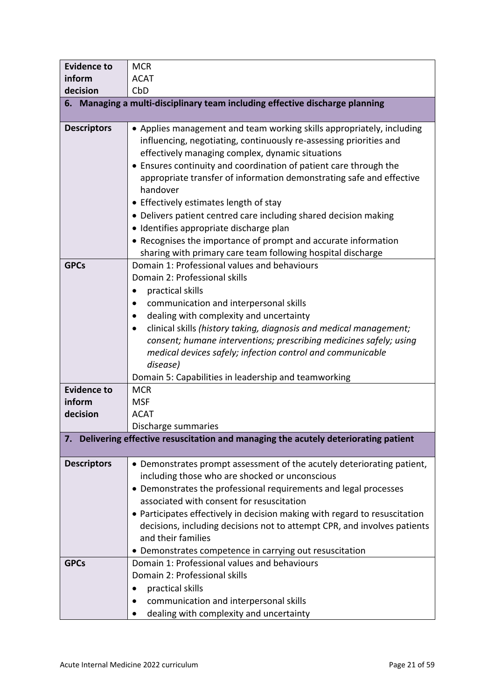| <b>Evidence to</b> | <b>MCR</b>                                                                                                                                                                                                                                                                                                                                                                                                                                                                                                                                                                                                                                         |
|--------------------|----------------------------------------------------------------------------------------------------------------------------------------------------------------------------------------------------------------------------------------------------------------------------------------------------------------------------------------------------------------------------------------------------------------------------------------------------------------------------------------------------------------------------------------------------------------------------------------------------------------------------------------------------|
| inform             | <b>ACAT</b>                                                                                                                                                                                                                                                                                                                                                                                                                                                                                                                                                                                                                                        |
| decision           | CbD                                                                                                                                                                                                                                                                                                                                                                                                                                                                                                                                                                                                                                                |
|                    | 6. Managing a multi-disciplinary team including effective discharge planning                                                                                                                                                                                                                                                                                                                                                                                                                                                                                                                                                                       |
| <b>Descriptors</b> | • Applies management and team working skills appropriately, including<br>influencing, negotiating, continuously re-assessing priorities and<br>effectively managing complex, dynamic situations<br>• Ensures continuity and coordination of patient care through the<br>appropriate transfer of information demonstrating safe and effective<br>handover<br>• Effectively estimates length of stay<br>• Delivers patient centred care including shared decision making<br>· Identifies appropriate discharge plan<br>• Recognises the importance of prompt and accurate information<br>sharing with primary care team following hospital discharge |
| <b>GPCs</b>        | Domain 1: Professional values and behaviours<br>Domain 2: Professional skills<br>practical skills<br>٠<br>communication and interpersonal skills<br>dealing with complexity and uncertainty<br>٠<br>clinical skills (history taking, diagnosis and medical management;<br>consent; humane interventions; prescribing medicines safely; using<br>medical devices safely; infection control and communicable<br>disease)<br>Domain 5: Capabilities in leadership and teamworking                                                                                                                                                                     |
| <b>Evidence to</b> | <b>MCR</b>                                                                                                                                                                                                                                                                                                                                                                                                                                                                                                                                                                                                                                         |
| inform             | <b>MSF</b>                                                                                                                                                                                                                                                                                                                                                                                                                                                                                                                                                                                                                                         |
| decision           | <b>ACAT</b>                                                                                                                                                                                                                                                                                                                                                                                                                                                                                                                                                                                                                                        |
|                    | Discharge summaries                                                                                                                                                                                                                                                                                                                                                                                                                                                                                                                                                                                                                                |
| 7.                 | Delivering effective resuscitation and managing the acutely deteriorating patient                                                                                                                                                                                                                                                                                                                                                                                                                                                                                                                                                                  |
| <b>Descriptors</b> | • Demonstrates prompt assessment of the acutely deteriorating patient,<br>including those who are shocked or unconscious<br>• Demonstrates the professional requirements and legal processes<br>associated with consent for resuscitation<br>• Participates effectively in decision making with regard to resuscitation<br>decisions, including decisions not to attempt CPR, and involves patients<br>and their families<br>• Demonstrates competence in carrying out resuscitation                                                                                                                                                               |
| <b>GPCs</b>        | Domain 1: Professional values and behaviours<br>Domain 2: Professional skills<br>practical skills<br>communication and interpersonal skills<br>dealing with complexity and uncertainty                                                                                                                                                                                                                                                                                                                                                                                                                                                             |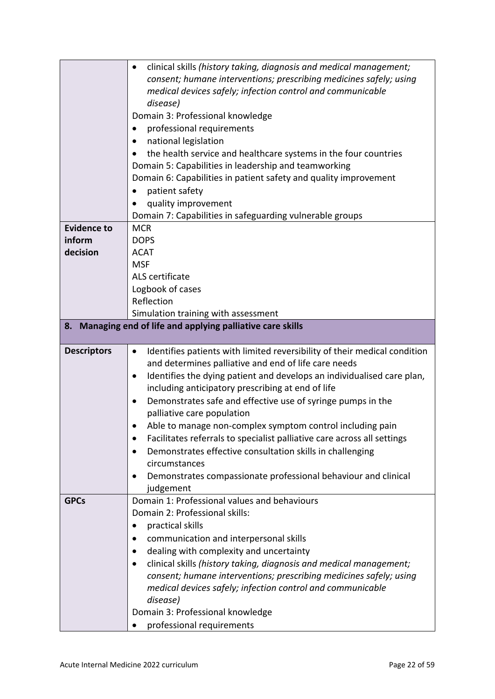|                    | clinical skills (history taking, diagnosis and medical management;<br>$\bullet$        |
|--------------------|----------------------------------------------------------------------------------------|
|                    | consent; humane interventions; prescribing medicines safely; using                     |
|                    | medical devices safely; infection control and communicable                             |
|                    | disease)                                                                               |
|                    | Domain 3: Professional knowledge                                                       |
|                    | professional requirements                                                              |
|                    | national legislation                                                                   |
|                    | the health service and healthcare systems in the four countries                        |
|                    | Domain 5: Capabilities in leadership and teamworking                                   |
|                    | Domain 6: Capabilities in patient safety and quality improvement                       |
|                    | patient safety                                                                         |
|                    | quality improvement                                                                    |
|                    | Domain 7: Capabilities in safeguarding vulnerable groups                               |
| <b>Evidence to</b> | <b>MCR</b>                                                                             |
| inform             | <b>DOPS</b>                                                                            |
| decision           | <b>ACAT</b>                                                                            |
|                    | <b>MSF</b>                                                                             |
|                    | ALS certificate                                                                        |
|                    | Logbook of cases                                                                       |
|                    | Reflection                                                                             |
|                    | Simulation training with assessment                                                    |
| 8.                 | Managing end of life and applying palliative care skills                               |
| <b>Descriptors</b> | Identifies patients with limited reversibility of their medical condition<br>$\bullet$ |
|                    | and determines palliative and end of life care needs                                   |
|                    | Identifies the dying patient and develops an individualised care plan,<br>$\bullet$    |
|                    |                                                                                        |
|                    |                                                                                        |
|                    | including anticipatory prescribing at end of life                                      |
|                    | Demonstrates safe and effective use of syringe pumps in the                            |
|                    | palliative care population                                                             |
|                    | Able to manage non-complex symptom control including pain                              |
|                    | Facilitates referrals to specialist palliative care across all settings                |
|                    | Demonstrates effective consultation skills in challenging<br>circumstances             |
|                    | ٠                                                                                      |
|                    | Demonstrates compassionate professional behaviour and clinical<br>judgement            |
| <b>GPCs</b>        | Domain 1: Professional values and behaviours                                           |
|                    | Domain 2: Professional skills:                                                         |
|                    | practical skills                                                                       |
|                    | communication and interpersonal skills                                                 |
|                    | dealing with complexity and uncertainty<br>٠                                           |
|                    | clinical skills (history taking, diagnosis and medical management;<br>$\bullet$        |
|                    | consent; humane interventions; prescribing medicines safely; using                     |
|                    | medical devices safely; infection control and communicable                             |
|                    | disease)                                                                               |
|                    | Domain 3: Professional knowledge                                                       |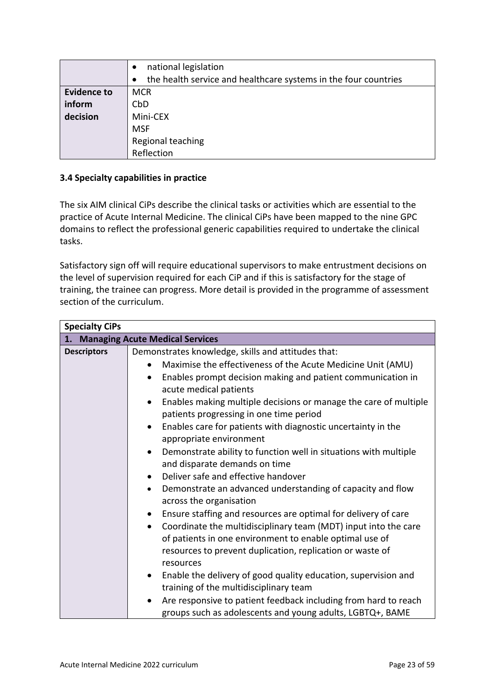|                    | national legislation                                            |
|--------------------|-----------------------------------------------------------------|
|                    | the health service and healthcare systems in the four countries |
| <b>Evidence to</b> | <b>MCR</b>                                                      |
| inform             | CbD                                                             |
| decision           | Mini-CEX                                                        |
|                    | <b>MSF</b>                                                      |
|                    | Regional teaching                                               |
|                    | Reflection                                                      |

## <span id="page-22-0"></span>**3.4 Specialty capabilities in practice**

The six AIM clinical CiPs describe the clinical tasks or activities which are essential to the practice of Acute Internal Medicine. The clinical CiPs have been mapped to the nine GPC domains to reflect the professional generic capabilities required to undertake the clinical tasks.

Satisfactory sign off will require educational supervisors to make entrustment decisions on the level of supervision required for each CiP and if this is satisfactory for the stage of training, the trainee can progress. More detail is provided in the programme of assessment section of the curriculum.

| <b>Specialty CiPs</b>                                                                              |                                                                                                                                                                    |  |
|----------------------------------------------------------------------------------------------------|--------------------------------------------------------------------------------------------------------------------------------------------------------------------|--|
| 1. Managing Acute Medical Services                                                                 |                                                                                                                                                                    |  |
| <b>Descriptors</b>                                                                                 | Demonstrates knowledge, skills and attitudes that:<br>Maximise the effectiveness of the Acute Medicine Unit (AMU)                                                  |  |
|                                                                                                    | Enables prompt decision making and patient communication in<br>$\bullet$<br>acute medical patients                                                                 |  |
|                                                                                                    | Enables making multiple decisions or manage the care of multiple<br>$\bullet$<br>patients progressing in one time period                                           |  |
|                                                                                                    | Enables care for patients with diagnostic uncertainty in the<br>$\bullet$<br>appropriate environment                                                               |  |
|                                                                                                    | Demonstrate ability to function well in situations with multiple<br>$\bullet$<br>and disparate demands on time<br>Deliver safe and effective handover<br>$\bullet$ |  |
|                                                                                                    |                                                                                                                                                                    |  |
| Demonstrate an advanced understanding of capacity and flow<br>$\bullet$<br>across the organisation |                                                                                                                                                                    |  |
| Ensure staffing and resources are optimal for delivery of care<br>$\bullet$                        |                                                                                                                                                                    |  |
| Coordinate the multidisciplinary team (MDT) input into the care<br>$\bullet$                       |                                                                                                                                                                    |  |
|                                                                                                    | of patients in one environment to enable optimal use of                                                                                                            |  |
|                                                                                                    | resources to prevent duplication, replication or waste of<br>resources                                                                                             |  |
|                                                                                                    | Enable the delivery of good quality education, supervision and<br>$\bullet$<br>training of the multidisciplinary team                                              |  |
|                                                                                                    | Are responsive to patient feedback including from hard to reach<br>groups such as adolescents and young adults, LGBTQ+, BAME                                       |  |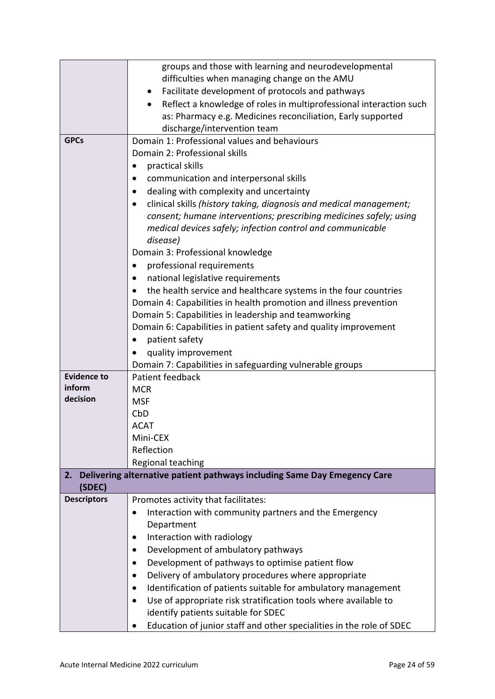|                    | groups and those with learning and neurodevelopmental                      |  |  |
|--------------------|----------------------------------------------------------------------------|--|--|
|                    | difficulties when managing change on the AMU                               |  |  |
|                    | Facilitate development of protocols and pathways                           |  |  |
|                    | Reflect a knowledge of roles in multiprofessional interaction such         |  |  |
|                    | as: Pharmacy e.g. Medicines reconciliation, Early supported                |  |  |
|                    | discharge/intervention team                                                |  |  |
| <b>GPCs</b>        | Domain 1: Professional values and behaviours                               |  |  |
|                    | Domain 2: Professional skills                                              |  |  |
|                    | practical skills<br>٠                                                      |  |  |
|                    | communication and interpersonal skills                                     |  |  |
|                    | dealing with complexity and uncertainty                                    |  |  |
|                    | clinical skills (history taking, diagnosis and medical management;         |  |  |
|                    | consent; humane interventions; prescribing medicines safely; using         |  |  |
|                    | medical devices safely; infection control and communicable                 |  |  |
|                    | disease)                                                                   |  |  |
|                    | Domain 3: Professional knowledge                                           |  |  |
|                    | professional requirements<br>٠                                             |  |  |
|                    |                                                                            |  |  |
|                    | national legislative requirements                                          |  |  |
|                    | the health service and healthcare systems in the four countries            |  |  |
|                    | Domain 4: Capabilities in health promotion and illness prevention          |  |  |
|                    | Domain 5: Capabilities in leadership and teamworking                       |  |  |
|                    | Domain 6: Capabilities in patient safety and quality improvement           |  |  |
|                    | patient safety<br>$\bullet$                                                |  |  |
|                    | quality improvement                                                        |  |  |
|                    | Domain 7: Capabilities in safeguarding vulnerable groups                   |  |  |
| <b>Evidence to</b> | Patient feedback                                                           |  |  |
| inform             | <b>MCR</b>                                                                 |  |  |
| decision           | <b>MSF</b>                                                                 |  |  |
|                    | CbD                                                                        |  |  |
|                    | <b>ACAT</b>                                                                |  |  |
|                    | Mini-CEX                                                                   |  |  |
|                    | Reflection                                                                 |  |  |
|                    | Regional teaching                                                          |  |  |
| 2.                 | Delivering alternative patient pathways including Same Day Emegency Care   |  |  |
| (SDEC)             |                                                                            |  |  |
| <b>Descriptors</b> | Promotes activity that facilitates:                                        |  |  |
|                    | Interaction with community partners and the Emergency<br>$\bullet$         |  |  |
|                    | Department                                                                 |  |  |
|                    | Interaction with radiology                                                 |  |  |
|                    | Development of ambulatory pathways                                         |  |  |
|                    | Development of pathways to optimise patient flow<br>$\bullet$              |  |  |
|                    | Delivery of ambulatory procedures where appropriate<br>$\bullet$           |  |  |
|                    | Identification of patients suitable for ambulatory management<br>$\bullet$ |  |  |
|                    |                                                                            |  |  |
|                    | Use of appropriate risk stratification tools where available to            |  |  |
|                    | identify patients suitable for SDEC                                        |  |  |
|                    | Education of junior staff and other specialities in the role of SDEC       |  |  |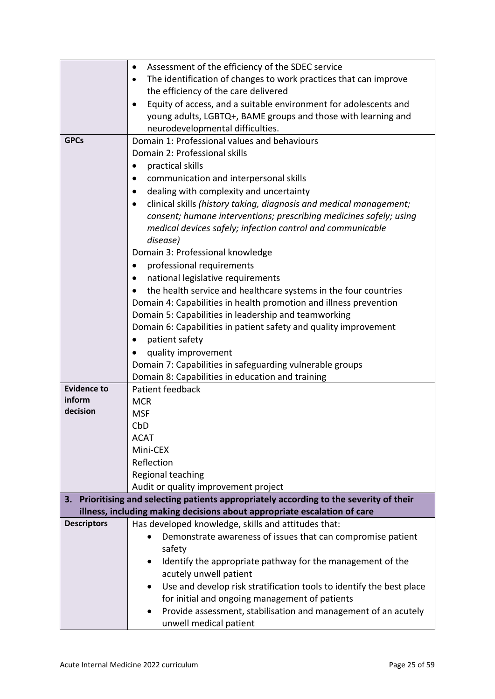|                    | Assessment of the efficiency of the SDEC service<br>$\bullet$                                                                                                    |  |  |  |
|--------------------|------------------------------------------------------------------------------------------------------------------------------------------------------------------|--|--|--|
|                    | The identification of changes to work practices that can improve                                                                                                 |  |  |  |
|                    | the efficiency of the care delivered                                                                                                                             |  |  |  |
|                    | Equity of access, and a suitable environment for adolescents and                                                                                                 |  |  |  |
|                    | young adults, LGBTQ+, BAME groups and those with learning and                                                                                                    |  |  |  |
|                    | neurodevelopmental difficulties.                                                                                                                                 |  |  |  |
| <b>GPCs</b>        | Domain 1: Professional values and behaviours                                                                                                                     |  |  |  |
|                    | Domain 2: Professional skills                                                                                                                                    |  |  |  |
|                    | practical skills<br>$\bullet$                                                                                                                                    |  |  |  |
|                    | communication and interpersonal skills                                                                                                                           |  |  |  |
|                    | dealing with complexity and uncertainty                                                                                                                          |  |  |  |
|                    | clinical skills (history taking, diagnosis and medical management;                                                                                               |  |  |  |
|                    | consent; humane interventions; prescribing medicines safely; using                                                                                               |  |  |  |
|                    | medical devices safely; infection control and communicable                                                                                                       |  |  |  |
|                    | disease)                                                                                                                                                         |  |  |  |
|                    | Domain 3: Professional knowledge                                                                                                                                 |  |  |  |
|                    | professional requirements<br>٠                                                                                                                                   |  |  |  |
|                    | national legislative requirements                                                                                                                                |  |  |  |
|                    | the health service and healthcare systems in the four countries                                                                                                  |  |  |  |
|                    | Domain 4: Capabilities in health promotion and illness prevention                                                                                                |  |  |  |
|                    | Domain 5: Capabilities in leadership and teamworking                                                                                                             |  |  |  |
|                    | Domain 6: Capabilities in patient safety and quality improvement                                                                                                 |  |  |  |
|                    | patient safety                                                                                                                                                   |  |  |  |
|                    | quality improvement                                                                                                                                              |  |  |  |
|                    | Domain 7: Capabilities in safeguarding vulnerable groups                                                                                                         |  |  |  |
|                    | Domain 8: Capabilities in education and training                                                                                                                 |  |  |  |
| <b>Evidence to</b> | Patient feedback                                                                                                                                                 |  |  |  |
| inform             | <b>MCR</b>                                                                                                                                                       |  |  |  |
| decision           | <b>MSF</b>                                                                                                                                                       |  |  |  |
|                    | CbD                                                                                                                                                              |  |  |  |
|                    | <b>ACAT</b>                                                                                                                                                      |  |  |  |
|                    | Mini-CEX                                                                                                                                                         |  |  |  |
|                    | Reflection                                                                                                                                                       |  |  |  |
|                    | Regional teaching                                                                                                                                                |  |  |  |
|                    | Audit or quality improvement project                                                                                                                             |  |  |  |
| 3.                 | Prioritising and selecting patients appropriately according to the severity of their<br>illness, including making decisions about appropriate escalation of care |  |  |  |
| <b>Descriptors</b> | Has developed knowledge, skills and attitudes that:                                                                                                              |  |  |  |
|                    | Demonstrate awareness of issues that can compromise patient                                                                                                      |  |  |  |
|                    | safety                                                                                                                                                           |  |  |  |
|                    | Identify the appropriate pathway for the management of the                                                                                                       |  |  |  |
|                    | acutely unwell patient                                                                                                                                           |  |  |  |
|                    | Use and develop risk stratification tools to identify the best place                                                                                             |  |  |  |
|                    | for initial and ongoing management of patients                                                                                                                   |  |  |  |
|                    | Provide assessment, stabilisation and management of an acutely                                                                                                   |  |  |  |
|                    | unwell medical patient                                                                                                                                           |  |  |  |
|                    |                                                                                                                                                                  |  |  |  |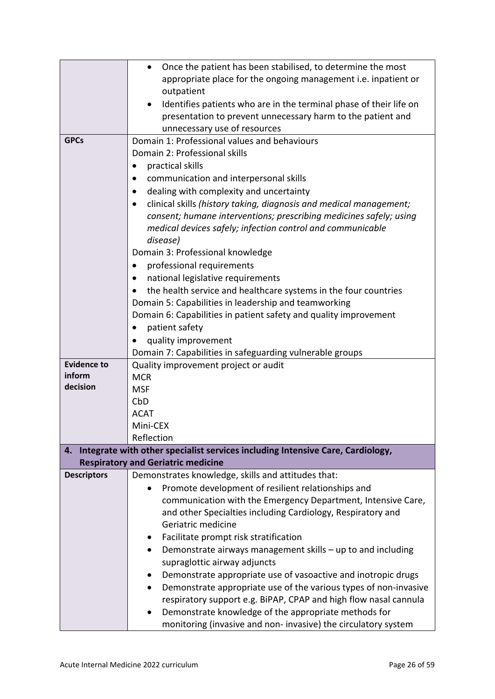|                    | Once the patient has been stabilised, to determine the most                    |  |  |  |
|--------------------|--------------------------------------------------------------------------------|--|--|--|
|                    | appropriate place for the ongoing management i.e. inpatient or                 |  |  |  |
|                    | outpatient                                                                     |  |  |  |
|                    | Identifies patients who are in the terminal phase of their life on             |  |  |  |
|                    | presentation to prevent unnecessary harm to the patient and                    |  |  |  |
|                    | unnecessary use of resources                                                   |  |  |  |
| <b>GPCs</b>        | Domain 1: Professional values and behaviours                                   |  |  |  |
|                    | Domain 2: Professional skills                                                  |  |  |  |
|                    | practical skills                                                               |  |  |  |
|                    | communication and interpersonal skills                                         |  |  |  |
|                    | dealing with complexity and uncertainty                                        |  |  |  |
|                    | clinical skills (history taking, diagnosis and medical management;             |  |  |  |
|                    | consent; humane interventions; prescribing medicines safely; using             |  |  |  |
|                    | medical devices safely; infection control and communicable                     |  |  |  |
|                    | disease)                                                                       |  |  |  |
|                    | Domain 3: Professional knowledge                                               |  |  |  |
|                    | professional requirements                                                      |  |  |  |
|                    | national legislative requirements                                              |  |  |  |
|                    |                                                                                |  |  |  |
|                    | the health service and healthcare systems in the four countries                |  |  |  |
|                    | Domain 5: Capabilities in leadership and teamworking                           |  |  |  |
|                    | Domain 6: Capabilities in patient safety and quality improvement               |  |  |  |
|                    | patient safety                                                                 |  |  |  |
|                    | quality improvement                                                            |  |  |  |
| <b>Evidence to</b> | Domain 7: Capabilities in safeguarding vulnerable groups                       |  |  |  |
| inform             | Quality improvement project or audit<br><b>MCR</b>                             |  |  |  |
| decision           | <b>MSF</b>                                                                     |  |  |  |
|                    | CbD                                                                            |  |  |  |
|                    | <b>ACAT</b>                                                                    |  |  |  |
|                    | Mini-CEX                                                                       |  |  |  |
|                    | Reflection                                                                     |  |  |  |
| 4.                 | Integrate with other specialist services including Intensive Care, Cardiology, |  |  |  |
|                    | <b>Respiratory and Geriatric medicine</b>                                      |  |  |  |
| <b>Descriptors</b> | Demonstrates knowledge, skills and attitudes that:                             |  |  |  |
|                    | Promote development of resilient relationships and                             |  |  |  |
|                    | communication with the Emergency Department, Intensive Care,                   |  |  |  |
|                    | and other Specialties including Cardiology, Respiratory and                    |  |  |  |
|                    | Geriatric medicine                                                             |  |  |  |
|                    | Facilitate prompt risk stratification                                          |  |  |  |
|                    | Demonstrate airways management skills - up to and including                    |  |  |  |
|                    | supraglottic airway adjuncts                                                   |  |  |  |
|                    | Demonstrate appropriate use of vasoactive and inotropic drugs                  |  |  |  |
|                    | Demonstrate appropriate use of the various types of non-invasive               |  |  |  |
|                    | respiratory support e.g. BiPAP, CPAP and high flow nasal cannula               |  |  |  |
|                    | Demonstrate knowledge of the appropriate methods for                           |  |  |  |
|                    | monitoring (invasive and non-invasive) the circulatory system                  |  |  |  |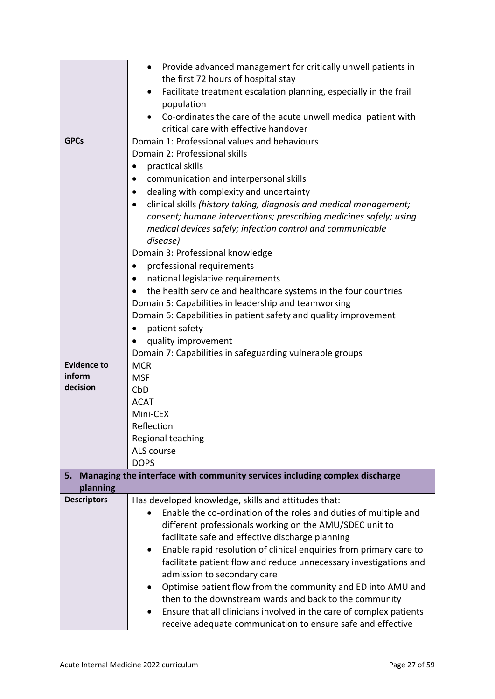|                    | Provide advanced management for critically unwell patients in<br>$\bullet$                                                                                                                                                                                                                                                                                                                                                                                                                                                                                 |  |  |  |
|--------------------|------------------------------------------------------------------------------------------------------------------------------------------------------------------------------------------------------------------------------------------------------------------------------------------------------------------------------------------------------------------------------------------------------------------------------------------------------------------------------------------------------------------------------------------------------------|--|--|--|
|                    | the first 72 hours of hospital stay                                                                                                                                                                                                                                                                                                                                                                                                                                                                                                                        |  |  |  |
|                    |                                                                                                                                                                                                                                                                                                                                                                                                                                                                                                                                                            |  |  |  |
|                    | Facilitate treatment escalation planning, especially in the frail                                                                                                                                                                                                                                                                                                                                                                                                                                                                                          |  |  |  |
|                    | population                                                                                                                                                                                                                                                                                                                                                                                                                                                                                                                                                 |  |  |  |
|                    | Co-ordinates the care of the acute unwell medical patient with                                                                                                                                                                                                                                                                                                                                                                                                                                                                                             |  |  |  |
|                    | critical care with effective handover                                                                                                                                                                                                                                                                                                                                                                                                                                                                                                                      |  |  |  |
| <b>GPCs</b>        | Domain 1: Professional values and behaviours                                                                                                                                                                                                                                                                                                                                                                                                                                                                                                               |  |  |  |
|                    | Domain 2: Professional skills                                                                                                                                                                                                                                                                                                                                                                                                                                                                                                                              |  |  |  |
|                    | practical skills                                                                                                                                                                                                                                                                                                                                                                                                                                                                                                                                           |  |  |  |
|                    | communication and interpersonal skills                                                                                                                                                                                                                                                                                                                                                                                                                                                                                                                     |  |  |  |
|                    | dealing with complexity and uncertainty                                                                                                                                                                                                                                                                                                                                                                                                                                                                                                                    |  |  |  |
|                    | clinical skills (history taking, diagnosis and medical management;<br>$\bullet$                                                                                                                                                                                                                                                                                                                                                                                                                                                                            |  |  |  |
|                    | consent; humane interventions; prescribing medicines safely; using                                                                                                                                                                                                                                                                                                                                                                                                                                                                                         |  |  |  |
|                    | medical devices safely; infection control and communicable                                                                                                                                                                                                                                                                                                                                                                                                                                                                                                 |  |  |  |
|                    | disease)                                                                                                                                                                                                                                                                                                                                                                                                                                                                                                                                                   |  |  |  |
|                    | Domain 3: Professional knowledge                                                                                                                                                                                                                                                                                                                                                                                                                                                                                                                           |  |  |  |
|                    | professional requirements                                                                                                                                                                                                                                                                                                                                                                                                                                                                                                                                  |  |  |  |
|                    | national legislative requirements                                                                                                                                                                                                                                                                                                                                                                                                                                                                                                                          |  |  |  |
|                    | the health service and healthcare systems in the four countries                                                                                                                                                                                                                                                                                                                                                                                                                                                                                            |  |  |  |
|                    | Domain 5: Capabilities in leadership and teamworking                                                                                                                                                                                                                                                                                                                                                                                                                                                                                                       |  |  |  |
|                    | Domain 6: Capabilities in patient safety and quality improvement                                                                                                                                                                                                                                                                                                                                                                                                                                                                                           |  |  |  |
|                    | patient safety                                                                                                                                                                                                                                                                                                                                                                                                                                                                                                                                             |  |  |  |
|                    | quality improvement                                                                                                                                                                                                                                                                                                                                                                                                                                                                                                                                        |  |  |  |
|                    | Domain 7: Capabilities in safeguarding vulnerable groups                                                                                                                                                                                                                                                                                                                                                                                                                                                                                                   |  |  |  |
| <b>Evidence to</b> | <b>MCR</b>                                                                                                                                                                                                                                                                                                                                                                                                                                                                                                                                                 |  |  |  |
| inform             | <b>MSF</b>                                                                                                                                                                                                                                                                                                                                                                                                                                                                                                                                                 |  |  |  |
| decision           | CbD                                                                                                                                                                                                                                                                                                                                                                                                                                                                                                                                                        |  |  |  |
|                    | <b>ACAT</b>                                                                                                                                                                                                                                                                                                                                                                                                                                                                                                                                                |  |  |  |
|                    | Mini-CEX                                                                                                                                                                                                                                                                                                                                                                                                                                                                                                                                                   |  |  |  |
|                    | Reflection                                                                                                                                                                                                                                                                                                                                                                                                                                                                                                                                                 |  |  |  |
|                    | Regional teaching                                                                                                                                                                                                                                                                                                                                                                                                                                                                                                                                          |  |  |  |
|                    | ALS course                                                                                                                                                                                                                                                                                                                                                                                                                                                                                                                                                 |  |  |  |
|                    | <b>DOPS</b>                                                                                                                                                                                                                                                                                                                                                                                                                                                                                                                                                |  |  |  |
| 5.                 | Managing the interface with community services including complex discharge                                                                                                                                                                                                                                                                                                                                                                                                                                                                                 |  |  |  |
| planning           |                                                                                                                                                                                                                                                                                                                                                                                                                                                                                                                                                            |  |  |  |
| <b>Descriptors</b> | Has developed knowledge, skills and attitudes that:                                                                                                                                                                                                                                                                                                                                                                                                                                                                                                        |  |  |  |
|                    |                                                                                                                                                                                                                                                                                                                                                                                                                                                                                                                                                            |  |  |  |
|                    |                                                                                                                                                                                                                                                                                                                                                                                                                                                                                                                                                            |  |  |  |
|                    |                                                                                                                                                                                                                                                                                                                                                                                                                                                                                                                                                            |  |  |  |
|                    |                                                                                                                                                                                                                                                                                                                                                                                                                                                                                                                                                            |  |  |  |
|                    |                                                                                                                                                                                                                                                                                                                                                                                                                                                                                                                                                            |  |  |  |
|                    |                                                                                                                                                                                                                                                                                                                                                                                                                                                                                                                                                            |  |  |  |
|                    |                                                                                                                                                                                                                                                                                                                                                                                                                                                                                                                                                            |  |  |  |
|                    |                                                                                                                                                                                                                                                                                                                                                                                                                                                                                                                                                            |  |  |  |
|                    |                                                                                                                                                                                                                                                                                                                                                                                                                                                                                                                                                            |  |  |  |
|                    |                                                                                                                                                                                                                                                                                                                                                                                                                                                                                                                                                            |  |  |  |
|                    | Enable the co-ordination of the roles and duties of multiple and<br>different professionals working on the AMU/SDEC unit to<br>facilitate safe and effective discharge planning<br>Enable rapid resolution of clinical enquiries from primary care to<br>facilitate patient flow and reduce unnecessary investigations and<br>admission to secondary care<br>Optimise patient flow from the community and ED into AMU and<br>then to the downstream wards and back to the community<br>Ensure that all clinicians involved in the care of complex patients |  |  |  |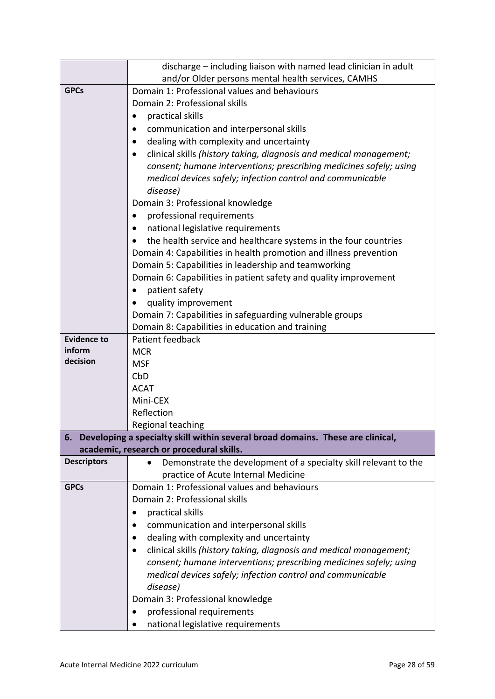|                    | discharge – including liaison with named lead clinician in adult                                                           |  |  |  |
|--------------------|----------------------------------------------------------------------------------------------------------------------------|--|--|--|
|                    | and/or Older persons mental health services, CAMHS                                                                         |  |  |  |
| <b>GPCs</b>        | Domain 1: Professional values and behaviours                                                                               |  |  |  |
|                    | Domain 2: Professional skills                                                                                              |  |  |  |
|                    | practical skills                                                                                                           |  |  |  |
|                    | communication and interpersonal skills                                                                                     |  |  |  |
|                    | dealing with complexity and uncertainty                                                                                    |  |  |  |
|                    | clinical skills (history taking, diagnosis and medical management;                                                         |  |  |  |
|                    | consent; humane interventions; prescribing medicines safely; using                                                         |  |  |  |
|                    | medical devices safely; infection control and communicable                                                                 |  |  |  |
|                    | disease)                                                                                                                   |  |  |  |
|                    | Domain 3: Professional knowledge                                                                                           |  |  |  |
|                    | professional requirements                                                                                                  |  |  |  |
|                    | national legislative requirements<br>$\bullet$                                                                             |  |  |  |
|                    | the health service and healthcare systems in the four countries<br>$\bullet$                                               |  |  |  |
|                    | Domain 4: Capabilities in health promotion and illness prevention                                                          |  |  |  |
|                    | Domain 5: Capabilities in leadership and teamworking                                                                       |  |  |  |
|                    | Domain 6: Capabilities in patient safety and quality improvement                                                           |  |  |  |
|                    | patient safety                                                                                                             |  |  |  |
|                    | quality improvement                                                                                                        |  |  |  |
|                    | Domain 7: Capabilities in safeguarding vulnerable groups                                                                   |  |  |  |
|                    | Domain 8: Capabilities in education and training                                                                           |  |  |  |
| <b>Evidence to</b> | Patient feedback                                                                                                           |  |  |  |
| inform<br>decision | <b>MCR</b>                                                                                                                 |  |  |  |
|                    | <b>MSF</b>                                                                                                                 |  |  |  |
|                    | CbD                                                                                                                        |  |  |  |
|                    | <b>ACAT</b>                                                                                                                |  |  |  |
|                    | Mini-CEX                                                                                                                   |  |  |  |
|                    | Reflection                                                                                                                 |  |  |  |
|                    | Regional teaching                                                                                                          |  |  |  |
| 6.                 | Developing a specialty skill within several broad domains. These are clinical,<br>academic, research or procedural skills. |  |  |  |
| <b>Descriptors</b> | Demonstrate the development of a specialty skill relevant to the<br>$\bullet$                                              |  |  |  |
|                    | practice of Acute Internal Medicine                                                                                        |  |  |  |
| <b>GPCs</b>        | Domain 1: Professional values and behaviours                                                                               |  |  |  |
|                    | Domain 2: Professional skills                                                                                              |  |  |  |
|                    | practical skills<br>$\bullet$                                                                                              |  |  |  |
|                    | communication and interpersonal skills                                                                                     |  |  |  |
|                    | dealing with complexity and uncertainty                                                                                    |  |  |  |
|                    | clinical skills (history taking, diagnosis and medical management;<br>٠                                                    |  |  |  |
|                    | consent; humane interventions; prescribing medicines safely; using                                                         |  |  |  |
|                    | medical devices safely; infection control and communicable                                                                 |  |  |  |
|                    | disease)                                                                                                                   |  |  |  |
|                    | Domain 3: Professional knowledge                                                                                           |  |  |  |
|                    | professional requirements<br>٠                                                                                             |  |  |  |
|                    | national legislative requirements                                                                                          |  |  |  |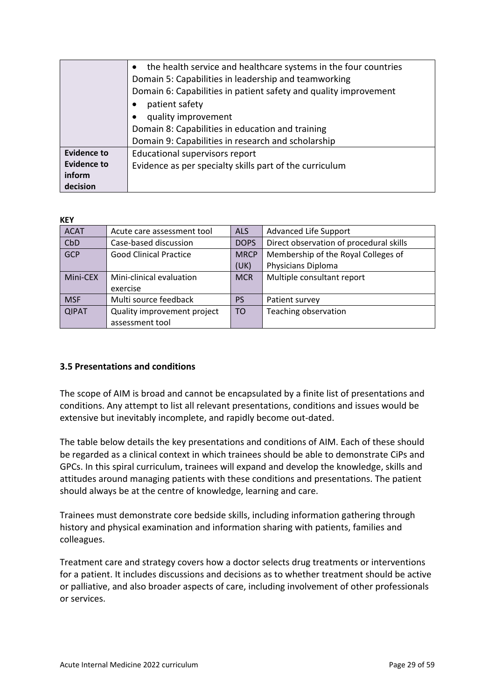|                    | the health service and healthcare systems in the four countries  |  |  |  |  |
|--------------------|------------------------------------------------------------------|--|--|--|--|
|                    | Domain 5: Capabilities in leadership and teamworking             |  |  |  |  |
|                    | Domain 6: Capabilities in patient safety and quality improvement |  |  |  |  |
|                    | patient safety                                                   |  |  |  |  |
|                    | quality improvement                                              |  |  |  |  |
|                    | Domain 8: Capabilities in education and training                 |  |  |  |  |
|                    | Domain 9: Capabilities in research and scholarship               |  |  |  |  |
| <b>Evidence to</b> | Educational supervisors report                                   |  |  |  |  |
| <b>Evidence to</b> | Evidence as per specialty skills part of the curriculum          |  |  |  |  |
| inform             |                                                                  |  |  |  |  |
| decision           |                                                                  |  |  |  |  |

#### **KEY**

| <b>ACAT</b>  | Acute care assessment tool    | <b>ALS</b>  | <b>Advanced Life Support</b>            |
|--------------|-------------------------------|-------------|-----------------------------------------|
| CbD          | Case-based discussion         | <b>DOPS</b> | Direct observation of procedural skills |
| <b>GCP</b>   | <b>Good Clinical Practice</b> | <b>MRCP</b> | Membership of the Royal Colleges of     |
|              |                               | (UK)        | Physicians Diploma                      |
| Mini-CEX     | Mini-clinical evaluation      | <b>MCR</b>  | Multiple consultant report              |
|              | exercise                      |             |                                         |
| <b>MSF</b>   | Multi source feedback         | <b>PS</b>   | Patient survey                          |
| <b>QIPAT</b> | Quality improvement project   | <b>TO</b>   | Teaching observation                    |
|              | assessment tool               |             |                                         |

## <span id="page-28-0"></span>**3.5 Presentations and conditions**

The scope of AIM is broad and cannot be encapsulated by a finite list of presentations and conditions. Any attempt to list all relevant presentations, conditions and issues would be extensive but inevitably incomplete, and rapidly become out-dated.

The table below details the key presentations and conditions of AIM. Each of these should be regarded as a clinical context in which trainees should be able to demonstrate CiPs and GPCs. In this spiral curriculum, trainees will expand and develop the knowledge, skills and attitudes around managing patients with these conditions and presentations. The patient should always be at the centre of knowledge, learning and care.

Trainees must demonstrate core bedside skills, including information gathering through history and physical examination and information sharing with patients, families and colleagues.

Treatment care and strategy covers how a doctor selects drug treatments or interventions for a patient. It includes discussions and decisions as to whether treatment should be active or palliative, and also broader aspects of care, including involvement of other professionals or services.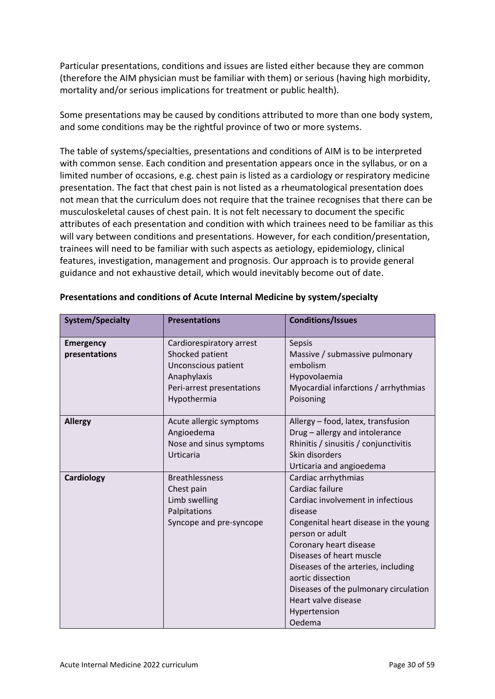Particular presentations, conditions and issues are listed either because they are common (therefore the AIM physician must be familiar with them) or serious (having high morbidity, mortality and/or serious implications for treatment or public health).

Some presentations may be caused by conditions attributed to more than one body system, and some conditions may be the rightful province of two or more systems.

The table of systems/specialties, presentations and conditions of AIM is to be interpreted with common sense. Each condition and presentation appears once in the syllabus, or on a limited number of occasions, e.g. chest pain is listed as a cardiology or respiratory medicine presentation. The fact that chest pain is not listed as a rheumatological presentation does not mean that the curriculum does not require that the trainee recognises that there can be musculoskeletal causes of chest pain. It is not felt necessary to document the specific attributes of each presentation and condition with which trainees need to be familiar as this will vary between conditions and presentations. However, for each condition/presentation, trainees will need to be familiar with such aspects as aetiology, epidemiology, clinical features, investigation, management and prognosis. Our approach is to provide general guidance and not exhaustive detail, which would inevitably become out of date.

| <b>System/Specialty</b>           | <b>Presentations</b>                                                                                                          | <b>Conditions/Issues</b>                                                                                                                                                                                                                                                                                                                                       |
|-----------------------------------|-------------------------------------------------------------------------------------------------------------------------------|----------------------------------------------------------------------------------------------------------------------------------------------------------------------------------------------------------------------------------------------------------------------------------------------------------------------------------------------------------------|
| <b>Emergency</b><br>presentations | Cardiorespiratory arrest<br>Shocked patient<br>Unconscious patient<br>Anaphylaxis<br>Peri-arrest presentations<br>Hypothermia | Sepsis<br>Massive / submassive pulmonary<br>embolism<br>Hypovolaemia<br>Myocardial infarctions / arrhythmias<br>Poisoning                                                                                                                                                                                                                                      |
| <b>Allergy</b>                    | Acute allergic symptoms<br>Angioedema<br>Nose and sinus symptoms<br>Urticaria                                                 | Allergy - food, latex, transfusion<br>Drug - allergy and intolerance<br>Rhinitis / sinusitis / conjunctivitis<br>Skin disorders<br>Urticaria and angioedema                                                                                                                                                                                                    |
| Cardiology                        | <b>Breathlessness</b><br>Chest pain<br>Limb swelling<br>Palpitations<br>Syncope and pre-syncope                               | Cardiac arrhythmias<br>Cardiac failure<br>Cardiac involvement in infectious<br>disease<br>Congenital heart disease in the young<br>person or adult<br>Coronary heart disease<br>Diseases of heart muscle<br>Diseases of the arteries, including<br>aortic dissection<br>Diseases of the pulmonary circulation<br>Heart valve disease<br>Hypertension<br>Oedema |

### **Presentations and conditions of Acute Internal Medicine by system/specialty**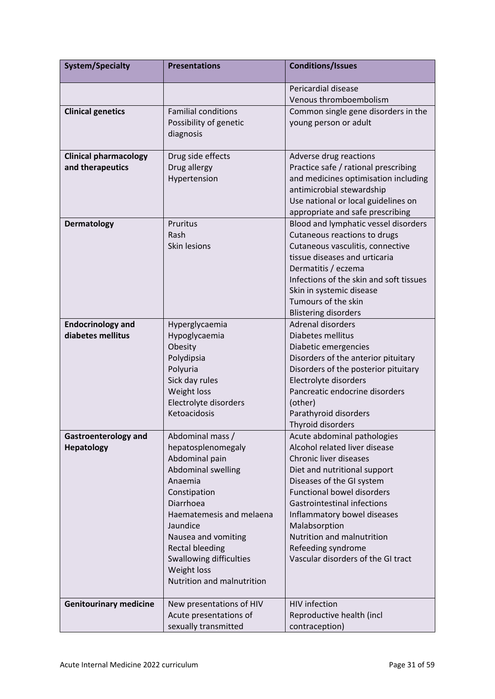| <b>System/Specialty</b>       | <b>Presentations</b>       | <b>Conditions/Issues</b>                                       |
|-------------------------------|----------------------------|----------------------------------------------------------------|
|                               |                            | Pericardial disease                                            |
|                               |                            | Venous thromboembolism                                         |
| <b>Clinical genetics</b>      | <b>Familial conditions</b> | Common single gene disorders in the                            |
|                               | Possibility of genetic     | young person or adult                                          |
|                               | diagnosis                  |                                                                |
|                               |                            |                                                                |
| <b>Clinical pharmacology</b>  | Drug side effects          | Adverse drug reactions                                         |
| and therapeutics              | Drug allergy               | Practice safe / rational prescribing                           |
|                               | Hypertension               | and medicines optimisation including                           |
|                               |                            | antimicrobial stewardship                                      |
|                               |                            | Use national or local guidelines on                            |
|                               |                            | appropriate and safe prescribing                               |
| <b>Dermatology</b>            | Pruritus                   | Blood and lymphatic vessel disorders                           |
|                               | Rash                       | Cutaneous reactions to drugs                                   |
|                               | Skin lesions               | Cutaneous vasculitis, connective                               |
|                               |                            | tissue diseases and urticaria                                  |
|                               |                            | Dermatitis / eczema<br>Infections of the skin and soft tissues |
|                               |                            | Skin in systemic disease                                       |
|                               |                            | Tumours of the skin                                            |
|                               |                            | <b>Blistering disorders</b>                                    |
| <b>Endocrinology and</b>      | Hyperglycaemia             | <b>Adrenal disorders</b>                                       |
| diabetes mellitus             | Hypoglycaemia              | Diabetes mellitus                                              |
|                               | Obesity                    | Diabetic emergencies                                           |
|                               | Polydipsia                 | Disorders of the anterior pituitary                            |
|                               | Polyuria                   | Disorders of the posterior pituitary                           |
|                               | Sick day rules             | Electrolyte disorders                                          |
|                               | Weight loss                | Pancreatic endocrine disorders                                 |
|                               | Electrolyte disorders      | (other)                                                        |
|                               | Ketoacidosis               | Parathyroid disorders                                          |
|                               |                            | Thyroid disorders                                              |
| <b>Gastroenterology and</b>   | Abdominal mass /           | Acute abdominal pathologies                                    |
| <b>Hepatology</b>             | hepatosplenomegaly         | Alcohol related liver disease                                  |
|                               | Abdominal pain             | Chronic liver diseases                                         |
|                               | Abdominal swelling         | Diet and nutritional support                                   |
|                               | Anaemia                    | Diseases of the GI system                                      |
|                               | Constipation               | <b>Functional bowel disorders</b>                              |
|                               | Diarrhoea                  | <b>Gastrointestinal infections</b>                             |
|                               | Haematemesis and melaena   | Inflammatory bowel diseases                                    |
|                               | Jaundice                   | Malabsorption                                                  |
|                               | Nausea and vomiting        | Nutrition and malnutrition                                     |
|                               | <b>Rectal bleeding</b>     | Refeeding syndrome                                             |
|                               | Swallowing difficulties    | Vascular disorders of the GI tract                             |
|                               | Weight loss                |                                                                |
|                               | Nutrition and malnutrition |                                                                |
|                               |                            |                                                                |
| <b>Genitourinary medicine</b> | New presentations of HIV   | <b>HIV</b> infection                                           |
|                               | Acute presentations of     | Reproductive health (incl                                      |
|                               | sexually transmitted       | contraception)                                                 |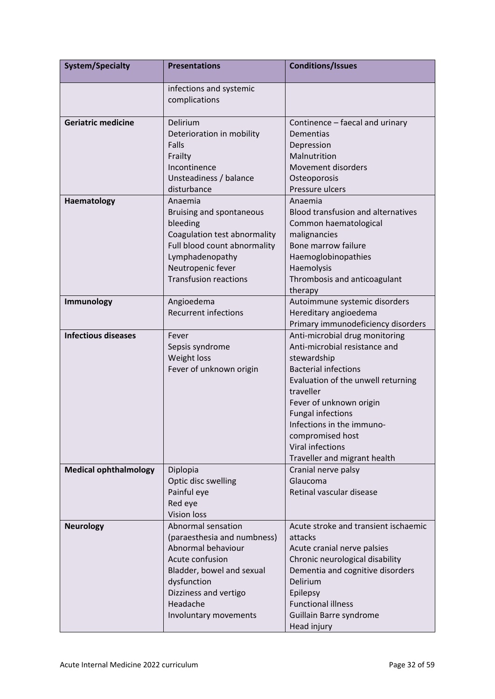| <b>System/Specialty</b>      | <b>Presentations</b>                                                                                                                                                                                 | <b>Conditions/Issues</b>                                                                                                                                                                                                                                                                                                     |
|------------------------------|------------------------------------------------------------------------------------------------------------------------------------------------------------------------------------------------------|------------------------------------------------------------------------------------------------------------------------------------------------------------------------------------------------------------------------------------------------------------------------------------------------------------------------------|
|                              | infections and systemic<br>complications                                                                                                                                                             |                                                                                                                                                                                                                                                                                                                              |
| <b>Geriatric medicine</b>    | Delirium<br>Deterioration in mobility<br>Falls<br>Frailty<br>Incontinence<br>Unsteadiness / balance<br>disturbance                                                                                   | Continence - faecal and urinary<br>Dementias<br>Depression<br>Malnutrition<br>Movement disorders<br>Osteoporosis<br>Pressure ulcers                                                                                                                                                                                          |
| Haematology                  | Anaemia<br>Bruising and spontaneous<br>bleeding<br>Coagulation test abnormality<br>Full blood count abnormality<br>Lymphadenopathy<br>Neutropenic fever<br><b>Transfusion reactions</b>              | Anaemia<br><b>Blood transfusion and alternatives</b><br>Common haematological<br>malignancies<br>Bone marrow failure<br>Haemoglobinopathies<br>Haemolysis<br>Thrombosis and anticoagulant<br>therapy                                                                                                                         |
| Immunology                   | Angioedema<br><b>Recurrent infections</b>                                                                                                                                                            | Autoimmune systemic disorders<br>Hereditary angioedema<br>Primary immunodeficiency disorders                                                                                                                                                                                                                                 |
| <b>Infectious diseases</b>   | Fever<br>Sepsis syndrome<br>Weight loss<br>Fever of unknown origin                                                                                                                                   | Anti-microbial drug monitoring<br>Anti-microbial resistance and<br>stewardship<br><b>Bacterial infections</b><br>Evaluation of the unwell returning<br>traveller<br>Fever of unknown origin<br><b>Fungal infections</b><br>Infections in the immuno-<br>compromised host<br>Viral infections<br>Traveller and migrant health |
| <b>Medical ophthalmology</b> | Diplopia<br>Optic disc swelling<br>Painful eye<br>Red eye<br><b>Vision loss</b>                                                                                                                      | Cranial nerve palsy<br>Glaucoma<br>Retinal vascular disease                                                                                                                                                                                                                                                                  |
| <b>Neurology</b>             | Abnormal sensation<br>(paraesthesia and numbness)<br>Abnormal behaviour<br>Acute confusion<br>Bladder, bowel and sexual<br>dysfunction<br>Dizziness and vertigo<br>Headache<br>Involuntary movements | Acute stroke and transient ischaemic<br>attacks<br>Acute cranial nerve palsies<br>Chronic neurological disability<br>Dementia and cognitive disorders<br><b>Delirium</b><br>Epilepsy<br><b>Functional illness</b><br>Guillain Barre syndrome<br>Head injury                                                                  |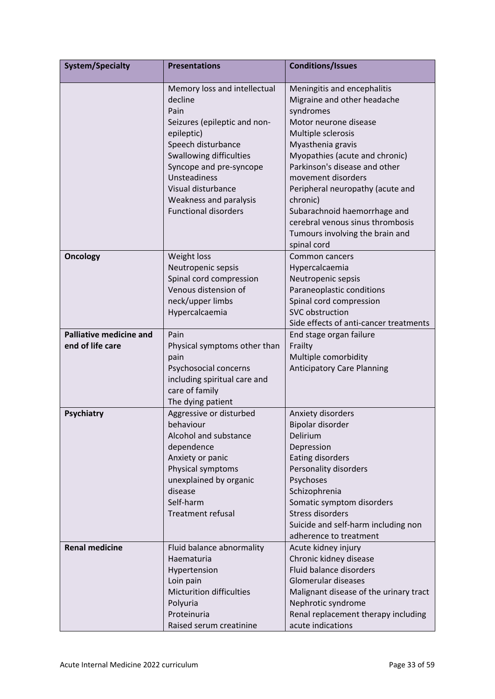| <b>System/Specialty</b>                            | <b>Presentations</b>                                                                                                                                                                                                                                                     | <b>Conditions/Issues</b>                                                                                                                                                                                                                                                                                                                                                                                   |
|----------------------------------------------------|--------------------------------------------------------------------------------------------------------------------------------------------------------------------------------------------------------------------------------------------------------------------------|------------------------------------------------------------------------------------------------------------------------------------------------------------------------------------------------------------------------------------------------------------------------------------------------------------------------------------------------------------------------------------------------------------|
|                                                    | Memory loss and intellectual<br>decline<br>Pain<br>Seizures (epileptic and non-<br>epileptic)<br>Speech disturbance<br>Swallowing difficulties<br>Syncope and pre-syncope<br>Unsteadiness<br>Visual disturbance<br>Weakness and paralysis<br><b>Functional disorders</b> | Meningitis and encephalitis<br>Migraine and other headache<br>syndromes<br>Motor neurone disease<br>Multiple sclerosis<br>Myasthenia gravis<br>Myopathies (acute and chronic)<br>Parkinson's disease and other<br>movement disorders<br>Peripheral neuropathy (acute and<br>chronic)<br>Subarachnoid haemorrhage and<br>cerebral venous sinus thrombosis<br>Tumours involving the brain and<br>spinal cord |
| <b>Oncology</b>                                    | Weight loss<br>Neutropenic sepsis<br>Spinal cord compression<br>Venous distension of<br>neck/upper limbs<br>Hypercalcaemia                                                                                                                                               | Common cancers<br>Hypercalcaemia<br>Neutropenic sepsis<br>Paraneoplastic conditions<br>Spinal cord compression<br>SVC obstruction<br>Side effects of anti-cancer treatments                                                                                                                                                                                                                                |
| <b>Palliative medicine and</b><br>end of life care | Pain<br>Physical symptoms other than<br>pain<br>Psychosocial concerns<br>including spiritual care and<br>care of family<br>The dying patient                                                                                                                             | End stage organ failure<br>Frailty<br>Multiple comorbidity<br><b>Anticipatory Care Planning</b>                                                                                                                                                                                                                                                                                                            |
| <b>Psychiatry</b>                                  | Aggressive or disturbed<br>behaviour<br>Alcohol and substance<br>dependence<br>Anxiety or panic<br>Physical symptoms<br>unexplained by organic<br>disease<br>Self-harm<br><b>Treatment refusal</b>                                                                       | Anxiety disorders<br>Bipolar disorder<br>Delirium<br>Depression<br><b>Eating disorders</b><br>Personality disorders<br>Psychoses<br>Schizophrenia<br>Somatic symptom disorders<br><b>Stress disorders</b><br>Suicide and self-harm including non<br>adherence to treatment                                                                                                                                 |
| <b>Renal medicine</b>                              | Fluid balance abnormality<br>Haematuria<br>Hypertension<br>Loin pain<br><b>Micturition difficulties</b><br>Polyuria<br>Proteinuria<br>Raised serum creatinine                                                                                                            | Acute kidney injury<br>Chronic kidney disease<br>Fluid balance disorders<br>Glomerular diseases<br>Malignant disease of the urinary tract<br>Nephrotic syndrome<br>Renal replacement therapy including<br>acute indications                                                                                                                                                                                |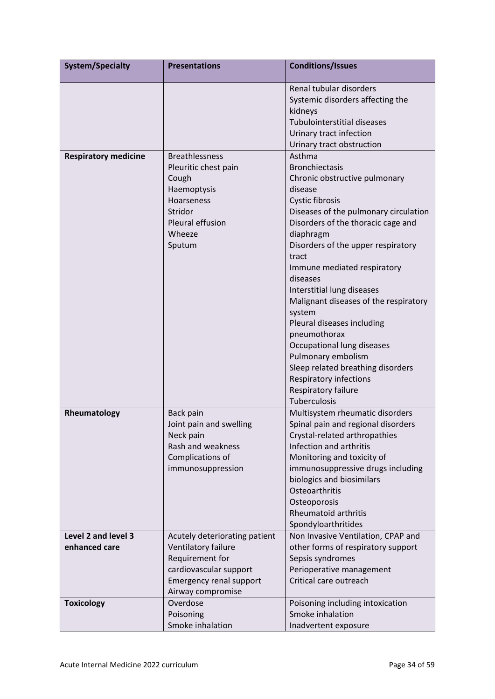| <b>System/Specialty</b>              | <b>Presentations</b>                                                                                                                                     | <b>Conditions/Issues</b>                                                                                                                                                                                                                                                                                                                                                                                                                                                                                                                                                      |
|--------------------------------------|----------------------------------------------------------------------------------------------------------------------------------------------------------|-------------------------------------------------------------------------------------------------------------------------------------------------------------------------------------------------------------------------------------------------------------------------------------------------------------------------------------------------------------------------------------------------------------------------------------------------------------------------------------------------------------------------------------------------------------------------------|
|                                      |                                                                                                                                                          | Renal tubular disorders<br>Systemic disorders affecting the<br>kidneys<br><b>Tubulointerstitial diseases</b><br>Urinary tract infection<br>Urinary tract obstruction                                                                                                                                                                                                                                                                                                                                                                                                          |
| <b>Respiratory medicine</b>          | <b>Breathlessness</b><br>Pleuritic chest pain<br>Cough<br>Haemoptysis<br>Hoarseness<br>Stridor<br>Pleural effusion<br>Wheeze<br>Sputum                   | Asthma<br><b>Bronchiectasis</b><br>Chronic obstructive pulmonary<br>disease<br>Cystic fibrosis<br>Diseases of the pulmonary circulation<br>Disorders of the thoracic cage and<br>diaphragm<br>Disorders of the upper respiratory<br>tract<br>Immune mediated respiratory<br>diseases<br>Interstitial lung diseases<br>Malignant diseases of the respiratory<br>system<br>Pleural diseases including<br>pneumothorax<br>Occupational lung diseases<br>Pulmonary embolism<br>Sleep related breathing disorders<br>Respiratory infections<br>Respiratory failure<br>Tuberculosis |
| Rheumatology                         | Back pain<br>Joint pain and swelling<br>Neck pain<br>Rash and weakness<br>Complications of<br>immunosuppression                                          | Multisystem rheumatic disorders<br>Spinal pain and regional disorders<br>Crystal-related arthropathies<br>Infection and arthritis<br>Monitoring and toxicity of<br>immunosuppressive drugs including<br>biologics and biosimilars<br>Osteoarthritis<br>Osteoporosis<br><b>Rheumatoid arthritis</b><br>Spondyloarthritides                                                                                                                                                                                                                                                     |
| Level 2 and level 3<br>enhanced care | Acutely deteriorating patient<br>Ventilatory failure<br>Requirement for<br>cardiovascular support<br><b>Emergency renal support</b><br>Airway compromise | Non Invasive Ventilation, CPAP and<br>other forms of respiratory support<br>Sepsis syndromes<br>Perioperative management<br>Critical care outreach                                                                                                                                                                                                                                                                                                                                                                                                                            |
| <b>Toxicology</b>                    | Overdose<br>Poisoning<br>Smoke inhalation                                                                                                                | Poisoning including intoxication<br>Smoke inhalation<br>Inadvertent exposure                                                                                                                                                                                                                                                                                                                                                                                                                                                                                                  |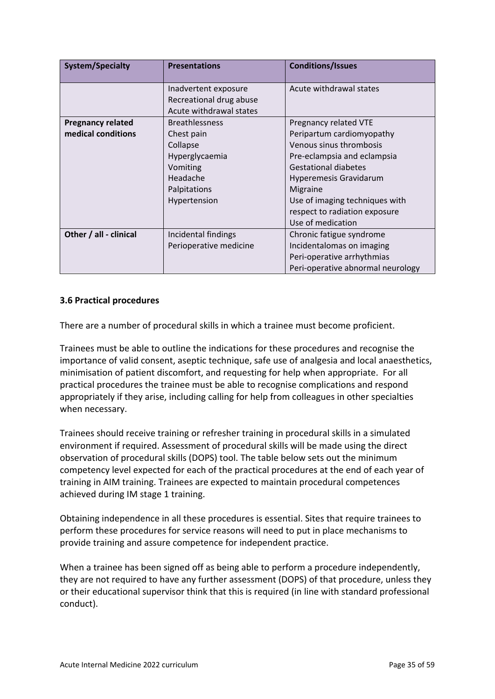| <b>System/Specialty</b>  | <b>Presentations</b>    | <b>Conditions/Issues</b>          |  |  |  |
|--------------------------|-------------------------|-----------------------------------|--|--|--|
|                          | Inadvertent exposure    | Acute withdrawal states           |  |  |  |
|                          | Recreational drug abuse |                                   |  |  |  |
|                          | Acute withdrawal states |                                   |  |  |  |
| <b>Pregnancy related</b> | <b>Breathlessness</b>   | Pregnancy related VTE             |  |  |  |
| medical conditions       | Chest pain              | Peripartum cardiomyopathy         |  |  |  |
|                          | Collapse                | Venous sinus thrombosis           |  |  |  |
|                          | Hyperglycaemia          | Pre-eclampsia and eclampsia       |  |  |  |
|                          | Vomiting                | <b>Gestational diabetes</b>       |  |  |  |
|                          | Headache                | <b>Hyperemesis Gravidarum</b>     |  |  |  |
|                          | Palpitations            | Migraine                          |  |  |  |
|                          | Hypertension            | Use of imaging techniques with    |  |  |  |
|                          |                         | respect to radiation exposure     |  |  |  |
|                          |                         | Use of medication                 |  |  |  |
| Other / all - clinical   | Incidental findings     | Chronic fatigue syndrome          |  |  |  |
|                          | Perioperative medicine  | Incidentalomas on imaging         |  |  |  |
|                          |                         | Peri-operative arrhythmias        |  |  |  |
|                          |                         | Peri-operative abnormal neurology |  |  |  |

## <span id="page-34-0"></span>**3.6 Practical procedures**

There are a number of procedural skills in which a trainee must become proficient.

Trainees must be able to outline the indications for these procedures and recognise the importance of valid consent, aseptic technique, safe use of analgesia and local anaesthetics, minimisation of patient discomfort, and requesting for help when appropriate. For all practical procedures the trainee must be able to recognise complications and respond appropriately if they arise, including calling for help from colleagues in other specialties when necessary.

Trainees should receive training or refresher training in procedural skills in a simulated environment if required. Assessment of procedural skills will be made using the direct observation of procedural skills (DOPS) tool. The table below sets out the minimum competency level expected for each of the practical procedures at the end of each year of training in AIM training. Trainees are expected to maintain procedural competences achieved during IM stage 1 training.

Obtaining independence in all these procedures is essential. Sites that require trainees to perform these procedures for service reasons will need to put in place mechanisms to provide training and assure competence for independent practice.

When a trainee has been signed off as being able to perform a procedure independently, they are not required to have any further assessment (DOPS) of that procedure, unless they or their educational supervisor think that this is required (in line with standard professional conduct).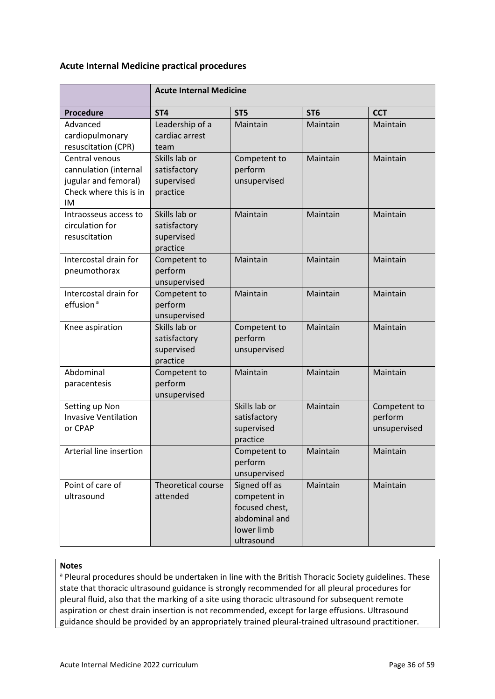### **Acute Internal Medicine practical procedures**

|                                                                                                 | <b>Acute Internal Medicine</b>                          |                                                                                              |                 |                                         |  |  |  |  |  |
|-------------------------------------------------------------------------------------------------|---------------------------------------------------------|----------------------------------------------------------------------------------------------|-----------------|-----------------------------------------|--|--|--|--|--|
| <b>Procedure</b>                                                                                | ST <sub>4</sub>                                         | ST <sub>5</sub>                                                                              | ST <sub>6</sub> | <b>CCT</b>                              |  |  |  |  |  |
| Advanced<br>cardiopulmonary<br>resuscitation (CPR)                                              | Leadership of a<br>cardiac arrest<br>team               | Maintain                                                                                     | Maintain        | Maintain                                |  |  |  |  |  |
| Central venous<br>cannulation (internal<br>jugular and femoral)<br>Check where this is in<br>IM | Skills lab or<br>satisfactory<br>supervised<br>practice | Competent to<br>perform<br>unsupervised                                                      | Maintain        | Maintain                                |  |  |  |  |  |
| Intraosseus access to<br>circulation for<br>resuscitation                                       | Skills lab or<br>satisfactory<br>supervised<br>practice | Maintain                                                                                     | Maintain        | Maintain                                |  |  |  |  |  |
| Intercostal drain for<br>pneumothorax                                                           | Competent to<br>perform<br>unsupervised                 | Maintain                                                                                     | Maintain        | Maintain                                |  |  |  |  |  |
| Intercostal drain for<br>effusion <sup>a</sup>                                                  | Competent to<br>perform<br>unsupervised                 | Maintain                                                                                     | Maintain        | Maintain                                |  |  |  |  |  |
| Knee aspiration                                                                                 | Skills lab or<br>satisfactory<br>supervised<br>practice | Competent to<br>perform<br>unsupervised                                                      | Maintain        | Maintain                                |  |  |  |  |  |
| Abdominal<br>paracentesis                                                                       | Competent to<br>perform<br>unsupervised                 | Maintain                                                                                     | Maintain        | Maintain                                |  |  |  |  |  |
| Setting up Non<br><b>Invasive Ventilation</b><br>or CPAP                                        |                                                         | Skills lab or<br>satisfactory<br>supervised<br>practice                                      | Maintain        | Competent to<br>perform<br>unsupervised |  |  |  |  |  |
| Arterial line insertion                                                                         |                                                         | Competent to<br>perform<br>unsupervised                                                      | Maintain        | Maintain                                |  |  |  |  |  |
| Point of care of<br>ultrasound                                                                  | Theoretical course<br>attended                          | Signed off as<br>competent in<br>focused chest,<br>abdominal and<br>lower limb<br>ultrasound | Maintain        | Maintain                                |  |  |  |  |  |

#### **Notes**

a Pleural procedures should be undertaken in line with the British Thoracic Society guidelines. These state that thoracic ultrasound guidance is strongly recommended for all pleural procedures for pleural fluid, also that the marking of a site using thoracic ultrasound for subsequent remote aspiration or chest drain insertion is not recommended, except for large effusions. Ultrasound guidance should be provided by an appropriately trained pleural-trained ultrasound practitioner.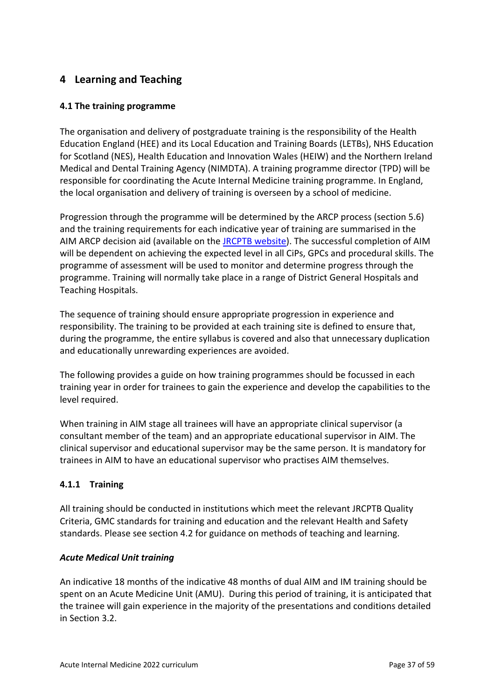# <span id="page-36-0"></span>**4 Learning and Teaching**

## <span id="page-36-1"></span>**4.1 The training programme**

The organisation and delivery of postgraduate training is the responsibility of the Health Education England (HEE) and its Local Education and Training Boards (LETBs), NHS Education for Scotland (NES), Health Education and Innovation Wales (HEIW) and the Northern Ireland Medical and Dental Training Agency (NIMDTA). A training programme director (TPD) will be responsible for coordinating the Acute Internal Medicine training programme. In England, the local organisation and delivery of training is overseen by a school of medicine.

Progression through the programme will be determined by the ARCP process (section 5.6) and the training requirements for each indicative year of training are summarised in the AIM ARCP decision aid (available on the [JRCPTB website\)](http://www.jrcptb.org.uk/). The successful completion of AIM will be dependent on achieving the expected level in all CiPs, GPCs and procedural skills. The programme of assessment will be used to monitor and determine progress through the programme. Training will normally take place in a range of District General Hospitals and Teaching Hospitals.

The sequence of training should ensure appropriate progression in experience and responsibility. The training to be provided at each training site is defined to ensure that, during the programme, the entire syllabus is covered and also that unnecessary duplication and educationally unrewarding experiences are avoided.

The following provides a guide on how training programmes should be focussed in each training year in order for trainees to gain the experience and develop the capabilities to the level required.

When training in AIM stage all trainees will have an appropriate clinical supervisor (a consultant member of the team) and an appropriate educational supervisor in AIM. The clinical supervisor and educational supervisor may be the same person. It is mandatory for trainees in AIM to have an educational supervisor who practises AIM themselves.

## **4.1.1 Training**

All training should be conducted in institutions which meet the relevant JRCPTB Quality Criteria, GMC standards for training and education and the relevant Health and Safety standards. Please see section 4.2 for guidance on methods of teaching and learning.

### *Acute Medical Unit training*

An indicative 18 months of the indicative 48 months of dual AIM and IM training should be spent on an Acute Medicine Unit (AMU). During this period of training, it is anticipated that the trainee will gain experience in the majority of the presentations and conditions detailed in Section 3.2.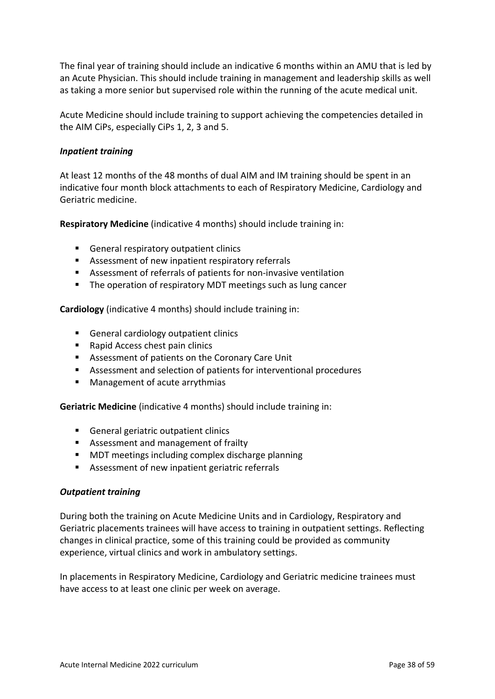The final year of training should include an indicative 6 months within an AMU that is led by an Acute Physician. This should include training in management and leadership skills as well as taking a more senior but supervised role within the running of the acute medical unit.

Acute Medicine should include training to support achieving the competencies detailed in the AIM CiPs, especially CiPs 1, 2, 3 and 5.

### *Inpatient training*

At least 12 months of the 48 months of dual AIM and IM training should be spent in an indicative four month block attachments to each of Respiratory Medicine, Cardiology and Geriatric medicine.

**Respiratory Medicine** (indicative 4 months) should include training in:

- General respiratory outpatient clinics
- Assessment of new inpatient respiratory referrals
- Assessment of referrals of patients for non-invasive ventilation
- The operation of respiratory MDT meetings such as lung cancer

**Cardiology** (indicative 4 months) should include training in:

- General cardiology outpatient clinics
- Rapid Access chest pain clinics
- Assessment of patients on the Coronary Care Unit
- Assessment and selection of patients for interventional procedures
- Management of acute arrythmias

**Geriatric Medicine** (indicative 4 months) should include training in:

- General geriatric outpatient clinics
- Assessment and management of frailty
- MDT meetings including complex discharge planning
- Assessment of new inpatient geriatric referrals

### *Outpatient training*

During both the training on Acute Medicine Units and in Cardiology, Respiratory and Geriatric placements trainees will have access to training in outpatient settings. Reflecting changes in clinical practice, some of this training could be provided as community experience, virtual clinics and work in ambulatory settings.

In placements in Respiratory Medicine, Cardiology and Geriatric medicine trainees must have access to at least one clinic per week on average.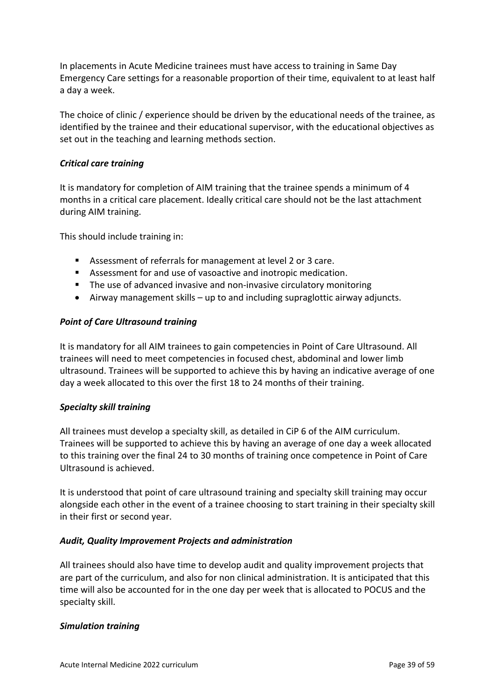In placements in Acute Medicine trainees must have access to training in Same Day Emergency Care settings for a reasonable proportion of their time, equivalent to at least half a day a week.

The choice of clinic / experience should be driven by the educational needs of the trainee, as identified by the trainee and their educational supervisor, with the educational objectives as set out in the teaching and learning methods section.

### *Critical care training*

It is mandatory for completion of AIM training that the trainee spends a minimum of 4 months in a critical care placement. Ideally critical care should not be the last attachment during AIM training.

This should include training in:

- Assessment of referrals for management at level 2 or 3 care.
- Assessment for and use of vasoactive and inotropic medication.
- The use of advanced invasive and non-invasive circulatory monitoring
- Airway management skills up to and including supraglottic airway adjuncts.

### *Point of Care Ultrasound training*

It is mandatory for all AIM trainees to gain competencies in Point of Care Ultrasound. All trainees will need to meet competencies in focused chest, abdominal and lower limb ultrasound. Trainees will be supported to achieve this by having an indicative average of one day a week allocated to this over the first 18 to 24 months of their training.

### *Specialty skill training*

All trainees must develop a specialty skill, as detailed in CiP 6 of the AIM curriculum. Trainees will be supported to achieve this by having an average of one day a week allocated to this training over the final 24 to 30 months of training once competence in Point of Care Ultrasound is achieved.

It is understood that point of care ultrasound training and specialty skill training may occur alongside each other in the event of a trainee choosing to start training in their specialty skill in their first or second year.

### *Audit, Quality Improvement Projects and administration*

All trainees should also have time to develop audit and quality improvement projects that are part of the curriculum, and also for non clinical administration. It is anticipated that this time will also be accounted for in the one day per week that is allocated to POCUS and the specialty skill.

### *Simulation training*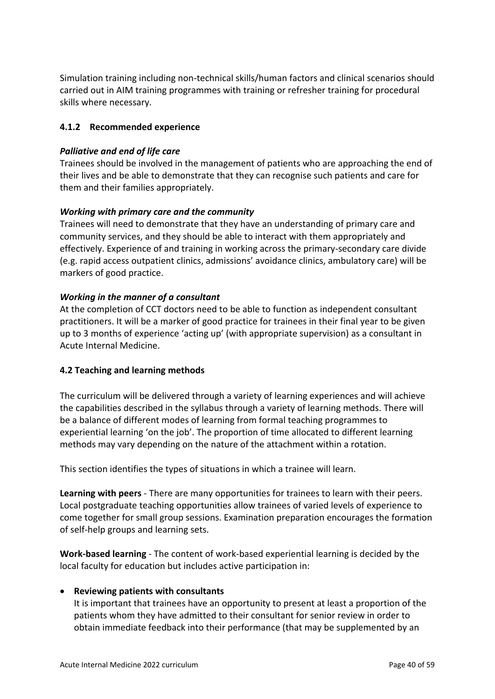Simulation training including non-technical skills/human factors and clinical scenarios should carried out in AIM training programmes with training or refresher training for procedural skills where necessary.

## **4.1.2 Recommended experience**

## *Palliative and end of life care*

Trainees should be involved in the management of patients who are approaching the end of their lives and be able to demonstrate that they can recognise such patients and care for them and their families appropriately.

## *Working with primary care and the community*

Trainees will need to demonstrate that they have an understanding of primary care and community services, and they should be able to interact with them appropriately and effectively. Experience of and training in working across the primary-secondary care divide (e.g. rapid access outpatient clinics, admissions' avoidance clinics, ambulatory care) will be markers of good practice.

## *Working in the manner of a consultant*

At the completion of CCT doctors need to be able to function as independent consultant practitioners. It will be a marker of good practice for trainees in their final year to be given up to 3 months of experience 'acting up' (with appropriate supervision) as a consultant in Acute Internal Medicine.

### <span id="page-39-0"></span>**4.2 Teaching and learning methods**

The curriculum will be delivered through a variety of learning experiences and will achieve the capabilities described in the syllabus through a variety of learning methods. There will be a balance of different modes of learning from formal teaching programmes to experiential learning 'on the job'. The proportion of time allocated to different learning methods may vary depending on the nature of the attachment within a rotation.

This section identifies the types of situations in which a trainee will learn.

**Learning with peers** - There are many opportunities for trainees to learn with their peers. Local postgraduate teaching opportunities allow trainees of varied levels of experience to come together for small group sessions. Examination preparation encourages the formation of self-help groups and learning sets.

**Work-based learning** - The content of work-based experiential learning is decided by the local faculty for education but includes active participation in:

### • **Reviewing patients with consultants**

It is important that trainees have an opportunity to present at least a proportion of the patients whom they have admitted to their consultant for senior review in order to obtain immediate feedback into their performance (that may be supplemented by an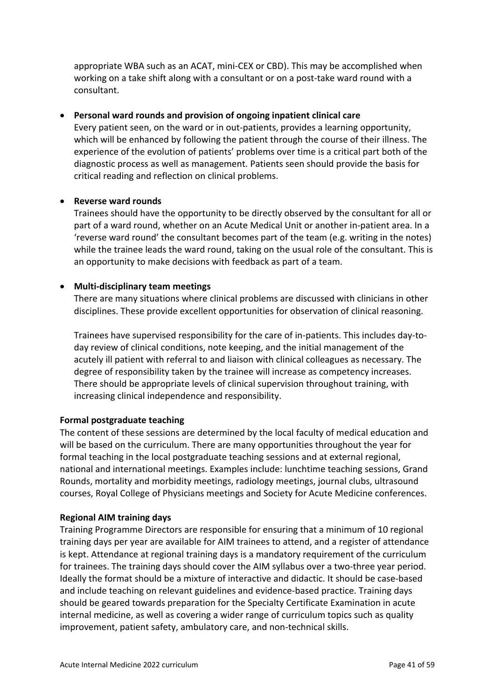appropriate WBA such as an ACAT, mini-CEX or CBD). This may be accomplished when working on a take shift along with a consultant or on a post-take ward round with a consultant.

### • **Personal ward rounds and provision of ongoing inpatient clinical care**

Every patient seen, on the ward or in out-patients, provides a learning opportunity, which will be enhanced by following the patient through the course of their illness. The experience of the evolution of patients' problems over time is a critical part both of the diagnostic process as well as management. Patients seen should provide the basis for critical reading and reflection on clinical problems.

### • **Reverse ward rounds**

Trainees should have the opportunity to be directly observed by the consultant for all or part of a ward round, whether on an Acute Medical Unit or another in-patient area. In a 'reverse ward round' the consultant becomes part of the team (e.g. writing in the notes) while the trainee leads the ward round, taking on the usual role of the consultant. This is an opportunity to make decisions with feedback as part of a team.

## • **Multi-disciplinary team meetings**

There are many situations where clinical problems are discussed with clinicians in other disciplines. These provide excellent opportunities for observation of clinical reasoning.

Trainees have supervised responsibility for the care of in-patients. This includes day-today review of clinical conditions, note keeping, and the initial management of the acutely ill patient with referral to and liaison with clinical colleagues as necessary. The degree of responsibility taken by the trainee will increase as competency increases. There should be appropriate levels of clinical supervision throughout training, with increasing clinical independence and responsibility.

### **Formal postgraduate teaching**

The content of these sessions are determined by the local faculty of medical education and will be based on the curriculum. There are many opportunities throughout the year for formal teaching in the local postgraduate teaching sessions and at external regional, national and international meetings. Examples include: lunchtime teaching sessions, Grand Rounds, mortality and morbidity meetings, radiology meetings, journal clubs, ultrasound courses, Royal College of Physicians meetings and Society for Acute Medicine conferences.

### **Regional AIM training days**

Training Programme Directors are responsible for ensuring that a minimum of 10 regional training days per year are available for AIM trainees to attend, and a register of attendance is kept. Attendance at regional training days is a mandatory requirement of the curriculum for trainees. The training days should cover the AIM syllabus over a two-three year period. Ideally the format should be a mixture of interactive and didactic. It should be case-based and include teaching on relevant guidelines and evidence-based practice. Training days should be geared towards preparation for the Specialty Certificate Examination in acute internal medicine, as well as covering a wider range of curriculum topics such as quality improvement, patient safety, ambulatory care, and non-technical skills.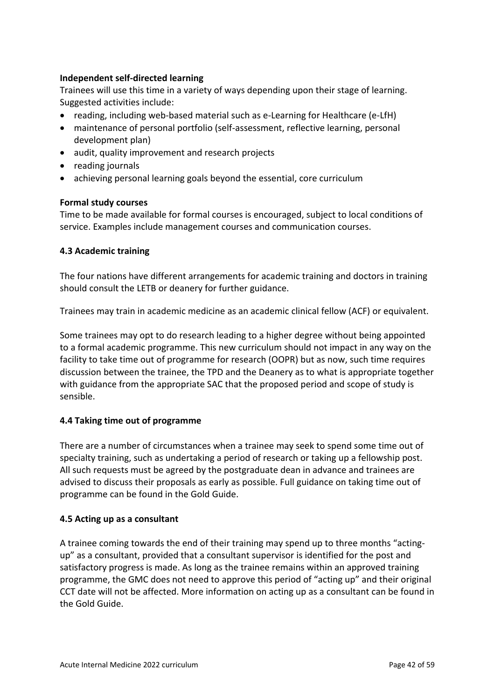## **Independent self-directed learning**

Trainees will use this time in a variety of ways depending upon their stage of learning. Suggested activities include:

- reading, including web-based material such as e-Learning for Healthcare (e-LfH)
- maintenance of personal portfolio (self-assessment, reflective learning, personal development plan)
- audit, quality improvement and research projects
- reading journals
- achieving personal learning goals beyond the essential, core curriculum

### **Formal study courses**

Time to be made available for formal courses is encouraged, subject to local conditions of service. Examples include management courses and communication courses.

### <span id="page-41-0"></span>**4.3 Academic training**

The four nations have different arrangements for academic training and doctors in training should consult the LETB or deanery for further guidance.

Trainees may train in academic medicine as an academic clinical fellow (ACF) or equivalent.

Some trainees may opt to do research leading to a higher degree without being appointed to a formal academic programme. This new curriculum should not impact in any way on the facility to take time out of programme for research (OOPR) but as now, such time requires discussion between the trainee, the TPD and the Deanery as to what is appropriate together with guidance from the appropriate SAC that the proposed period and scope of study is sensible.

### <span id="page-41-1"></span>**4.4 Taking time out of programme**

There are a number of circumstances when a trainee may seek to spend some time out of specialty training, such as undertaking a period of research or taking up a fellowship post. All such requests must be agreed by the postgraduate dean in advance and trainees are advised to discuss their proposals as early as possible. Full guidance on taking time out of programme can be found in the Gold Guide.

### <span id="page-41-2"></span>**4.5 Acting up as a consultant**

A trainee coming towards the end of their training may spend up to three months "actingup" as a consultant, provided that a consultant supervisor is identified for the post and satisfactory progress is made. As long as the trainee remains within an approved training programme, the GMC does not need to approve this period of "acting up" and their original CCT date will not be affected. More information on acting up as a consultant can be found in the Gold Guide.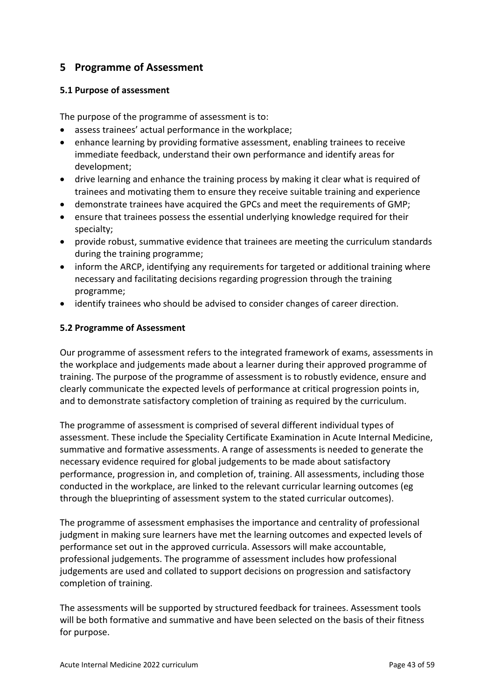# <span id="page-42-0"></span>**5 Programme of Assessment**

## <span id="page-42-1"></span>**5.1 Purpose of assessment**

The purpose of the programme of assessment is to:

- assess trainees' actual performance in the workplace;
- enhance learning by providing formative assessment, enabling trainees to receive immediate feedback, understand their own performance and identify areas for development;
- drive learning and enhance the training process by making it clear what is required of trainees and motivating them to ensure they receive suitable training and experience
- demonstrate trainees have acquired the GPCs and meet the requirements of GMP;
- ensure that trainees possess the essential underlying knowledge required for their specialty;
- provide robust, summative evidence that trainees are meeting the curriculum standards during the training programme;
- inform the ARCP, identifying any requirements for targeted or additional training where necessary and facilitating decisions regarding progression through the training programme;
- identify trainees who should be advised to consider changes of career direction.

## <span id="page-42-2"></span>**5.2 Programme of Assessment**

Our programme of assessment refers to the integrated framework of exams, assessments in the workplace and judgements made about a learner during their approved programme of training. The purpose of the programme of assessment is to robustly evidence, ensure and clearly communicate the expected levels of performance at critical progression points in, and to demonstrate satisfactory completion of training as required by the curriculum.

The programme of assessment is comprised of several different individual types of assessment. These include the Speciality Certificate Examination in Acute Internal Medicine, summative and formative assessments. A range of assessments is needed to generate the necessary evidence required for global judgements to be made about satisfactory performance, progression in, and completion of, training. All assessments, including those conducted in the workplace, are linked to the relevant curricular learning outcomes (eg through the blueprinting of assessment system to the stated curricular outcomes).

The programme of assessment emphasises the importance and centrality of professional judgment in making sure learners have met the learning outcomes and expected levels of performance set out in the approved curricula. Assessors will make accountable, professional judgements. The programme of assessment includes how professional judgements are used and collated to support decisions on progression and satisfactory completion of training.

The assessments will be supported by structured feedback for trainees. Assessment tools will be both formative and summative and have been selected on the basis of their fitness for purpose.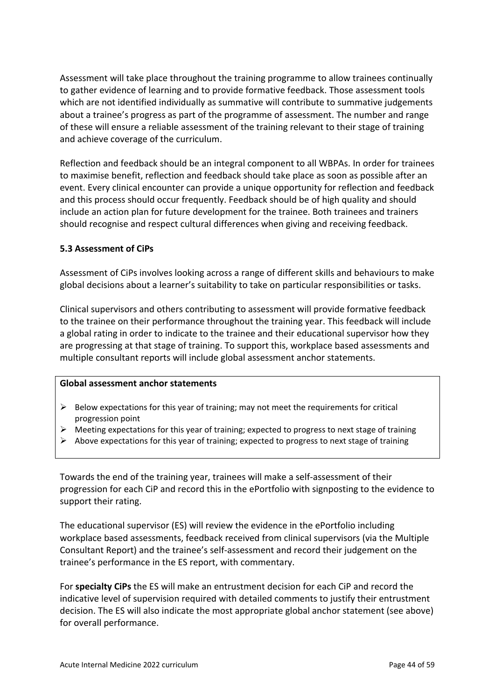Assessment will take place throughout the training programme to allow trainees continually to gather evidence of learning and to provide formative feedback. Those assessment tools which are not identified individually as summative will contribute to summative judgements about a trainee's progress as part of the programme of assessment. The number and range of these will ensure a reliable assessment of the training relevant to their stage of training and achieve coverage of the curriculum.

Reflection and feedback should be an integral component to all WBPAs. In order for trainees to maximise benefit, reflection and feedback should take place as soon as possible after an event. Every clinical encounter can provide a unique opportunity for reflection and feedback and this process should occur frequently. Feedback should be of high quality and should include an action plan for future development for the trainee. Both trainees and trainers should recognise and respect cultural differences when giving and receiving feedback.

### <span id="page-43-0"></span>**5.3 Assessment of CiPs**

Assessment of CiPs involves looking across a range of different skills and behaviours to make global decisions about a learner's suitability to take on particular responsibilities or tasks.

Clinical supervisors and others contributing to assessment will provide formative feedback to the trainee on their performance throughout the training year. This feedback will include a global rating in order to indicate to the trainee and their educational supervisor how they are progressing at that stage of training. To support this, workplace based assessments and multiple consultant reports will include global assessment anchor statements.

#### **Global assessment anchor statements**

- $\triangleright$  Below expectations for this year of training; may not meet the requirements for critical progression point
- $\triangleright$  Meeting expectations for this year of training; expected to progress to next stage of training
- $\triangleright$  Above expectations for this year of training; expected to progress to next stage of training

Towards the end of the training year, trainees will make a self-assessment of their progression for each CiP and record this in the ePortfolio with signposting to the evidence to support their rating.

The educational supervisor (ES) will review the evidence in the ePortfolio including workplace based assessments, feedback received from clinical supervisors (via the Multiple Consultant Report) and the trainee's self-assessment and record their judgement on the trainee's performance in the ES report, with commentary.

For **specialty CiPs** the ES will make an entrustment decision for each CiP and record the indicative level of supervision required with detailed comments to justify their entrustment decision. The ES will also indicate the most appropriate global anchor statement (see above) for overall performance.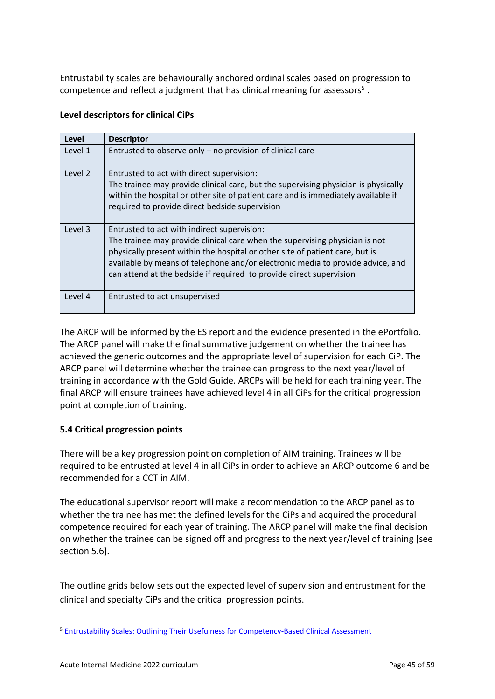Entrustability scales are behaviourally anchored ordinal scales based on progression to competence and reflect a judgment that has clinical meaning for assessors<sup>5</sup>.

### **Level descriptors for clinical CiPs**

| Level   | <b>Descriptor</b>                                                                                                                                                                                                                                                                                                                                                   |
|---------|---------------------------------------------------------------------------------------------------------------------------------------------------------------------------------------------------------------------------------------------------------------------------------------------------------------------------------------------------------------------|
| Level 1 | Entrusted to observe only - no provision of clinical care                                                                                                                                                                                                                                                                                                           |
| Level 2 | Entrusted to act with direct supervision:<br>The trainee may provide clinical care, but the supervising physician is physically<br>within the hospital or other site of patient care and is immediately available if<br>required to provide direct bedside supervision                                                                                              |
| Level 3 | Entrusted to act with indirect supervision:<br>The trainee may provide clinical care when the supervising physician is not<br>physically present within the hospital or other site of patient care, but is<br>available by means of telephone and/or electronic media to provide advice, and<br>can attend at the bedside if required to provide direct supervision |
| Level 4 | Entrusted to act unsupervised                                                                                                                                                                                                                                                                                                                                       |

The ARCP will be informed by the ES report and the evidence presented in the ePortfolio. The ARCP panel will make the final summative judgement on whether the trainee has achieved the generic outcomes and the appropriate level of supervision for each CiP. The ARCP panel will determine whether the trainee can progress to the next year/level of training in accordance with the Gold Guide. ARCPs will be held for each training year. The final ARCP will ensure trainees have achieved level 4 in all CiPs for the critical progression point at completion of training.

## <span id="page-44-0"></span>**5.4 Critical progression points**

There will be a key progression point on completion of AIM training. Trainees will be required to be entrusted at level 4 in all CiPs in order to achieve an ARCP outcome 6 and be recommended for a CCT in AIM.

The educational supervisor report will make a recommendation to the ARCP panel as to whether the trainee has met the defined levels for the CiPs and acquired the procedural competence required for each year of training. The ARCP panel will make the final decision on whether the trainee can be signed off and progress to the next year/level of training [see section 5.6].

The outline grids below sets out the expected level of supervision and entrustment for the clinical and specialty CiPs and the critical progression points.

<sup>5</sup> [Entrustability Scales: Outlining Their Usefulness for Competency-Based Clinical Assessment](https://www.ncbi.nlm.nih.gov/labs/articles/26630609/)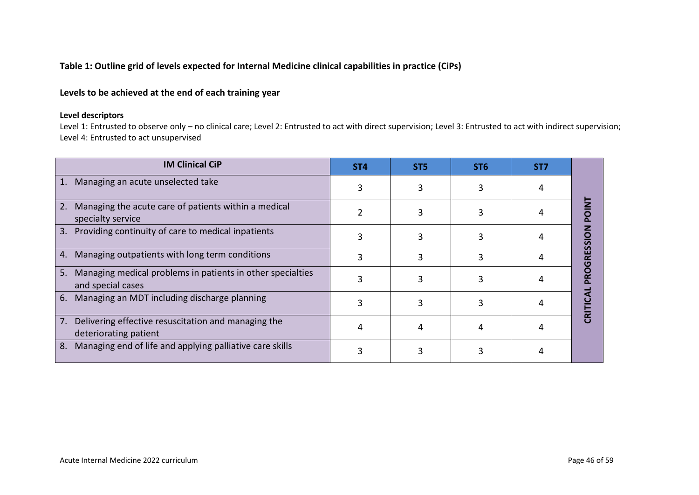### **Table 1: Outline grid of levels expected for Internal Medicine clinical capabilities in practice (CiPs)**

## **Levels to be achieved at the end of each training year**

### **Level descriptors**

Level 1: Entrusted to observe only – no clinical care; Level 2: Entrusted to act with direct supervision; Level 3: Entrusted to act with indirect supervision; Level 4: Entrusted to act unsupervised

| <b>IM Clinical CiP</b>                                                                | ST <sub>4</sub> | ST <sub>5</sub> | ST <sub>6</sub> | ST <sub>7</sub> |   |
|---------------------------------------------------------------------------------------|-----------------|-----------------|-----------------|-----------------|---|
| Managing an acute unselected take<br>1.                                               |                 |                 |                 |                 |   |
| Managing the acute care of patients within a medical<br>2.<br>specialty service       |                 |                 |                 |                 |   |
| Providing continuity of care to medical inpatients<br>3.                              |                 |                 |                 |                 |   |
| 4. Managing outpatients with long term conditions                                     |                 |                 |                 |                 | œ |
| Managing medical problems in patients in other specialties<br>5.<br>and special cases |                 |                 |                 |                 |   |
| 6. Managing an MDT including discharge planning                                       |                 |                 |                 |                 |   |
| Delivering effective resuscitation and managing the<br>7.<br>deteriorating patient    |                 |                 |                 |                 |   |
| Managing end of life and applying palliative care skills<br>8.                        |                 |                 |                 |                 |   |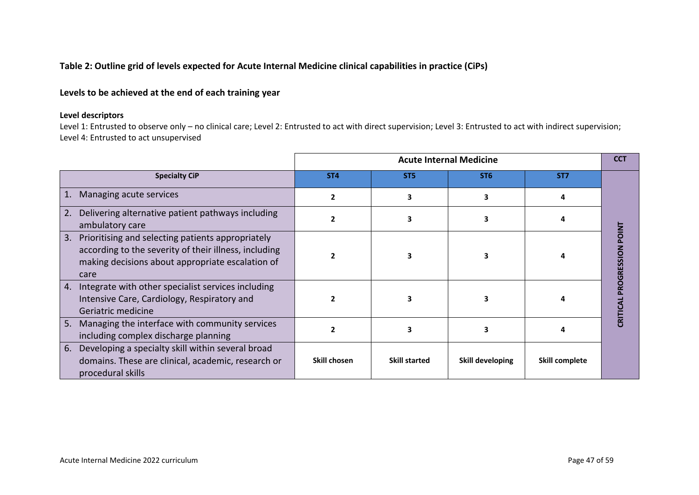### **Table 2: Outline grid of levels expected for Acute Internal Medicine clinical capabilities in practice (CiPs)**

## **Levels to be achieved at the end of each training year**

### **Level descriptors**

Level 1: Entrusted to observe only – no clinical care; Level 2: Entrusted to act with direct supervision; Level 3: Entrusted to act with indirect supervision; Level 4: Entrusted to act unsupervised

|                                                                                                                                                                              | <b>Acute Internal Medicine</b> |                      |                  |                 |                                    |  |  |
|------------------------------------------------------------------------------------------------------------------------------------------------------------------------------|--------------------------------|----------------------|------------------|-----------------|------------------------------------|--|--|
| <b>Specialty CiP</b>                                                                                                                                                         | ST <sub>4</sub>                | ST <sub>5</sub>      | ST <sub>6</sub>  | ST <sub>7</sub> |                                    |  |  |
| Managing acute services<br>1.                                                                                                                                                | 2                              | 3                    |                  |                 |                                    |  |  |
| Delivering alternative patient pathways including<br>2.<br>ambulatory care                                                                                                   |                                |                      |                  |                 |                                    |  |  |
| 3.<br>Prioritising and selecting patients appropriately<br>according to the severity of their illness, including<br>making decisions about appropriate escalation of<br>care |                                |                      |                  |                 | <b>POINT</b><br><b>PROGRESSION</b> |  |  |
| Integrate with other specialist services including<br>4.<br>Intensive Care, Cardiology, Respiratory and<br>Geriatric medicine                                                |                                |                      |                  |                 | CRITICAL                           |  |  |
| Managing the interface with community services<br>5.<br>including complex discharge planning                                                                                 |                                |                      |                  |                 |                                    |  |  |
| 6.<br>Developing a specialty skill within several broad<br>domains. These are clinical, academic, research or<br>procedural skills                                           | Skill chosen                   | <b>Skill started</b> | Skill developing | Skill complete  |                                    |  |  |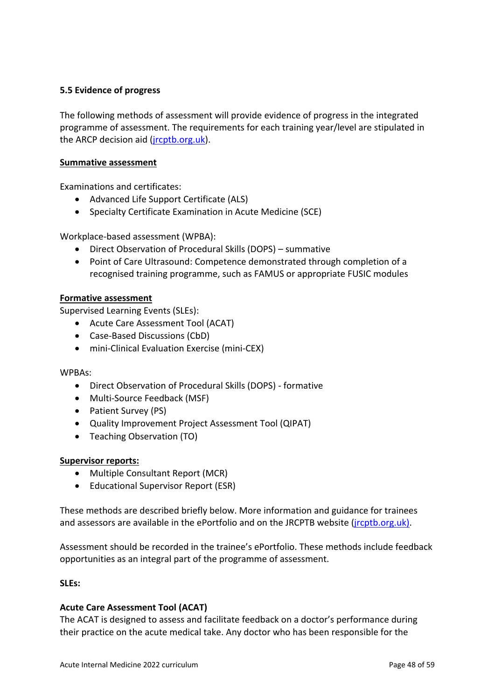## <span id="page-47-0"></span>**5.5 Evidence of progress**

The following methods of assessment will provide evidence of progress in the integrated programme of assessment. The requirements for each training year/level are stipulated in the ARCP decision aid (*jrcptb.org.uk*).

### <span id="page-47-2"></span><span id="page-47-1"></span>**Summative assessment**

Examinations and certificates:

- Advanced Life Support Certificate (ALS)
- Specialty Certificate Examination in Acute Medicine (SCE)

Workplace-based assessment (WPBA):

- Direct Observation of Procedural Skills (DOPS) summative
- <span id="page-47-3"></span>• Point of Care Ultrasound: Competence demonstrated through completion of a recognised training programme, such as FAMUS or appropriate FUSIC modules

### <span id="page-47-4"></span>**Formative assessment**

<span id="page-47-5"></span>Supervised Learning Events (SLEs):

- Acute Care Assessment Tool (ACAT)
- Case-Based Discussions (CbD)
- mini-Clinical Evaluation Exercise (mini-CEX)

#### WPBAs:

- Direct Observation of Procedural Skills (DOPS) formative
- Multi-Source Feedback (MSF)
- Patient Survey (PS)
- Quality Improvement Project Assessment Tool (QIPAT)
- Teaching Observation (TO)

#### **Supervisor reports:**

- Multiple Consultant Report (MCR)
- Educational Supervisor Report (ESR)

These methods are described briefly below. More information and guidance for trainees and assessors are available in the ePortfolio and on the JRCPTB website [\(jrcptb.org.uk\)](http://www.jrcptb.org.uk/).

Assessment should be recorded in the trainee's ePortfolio. These methods include feedback opportunities as an integral part of the programme of assessment.

### <span id="page-47-6"></span>**SLEs:**

### **Acute Care Assessment Tool (ACAT)**

The ACAT is designed to assess and facilitate feedback on a doctor's performance during their practice on the acute medical take. Any doctor who has been responsible for the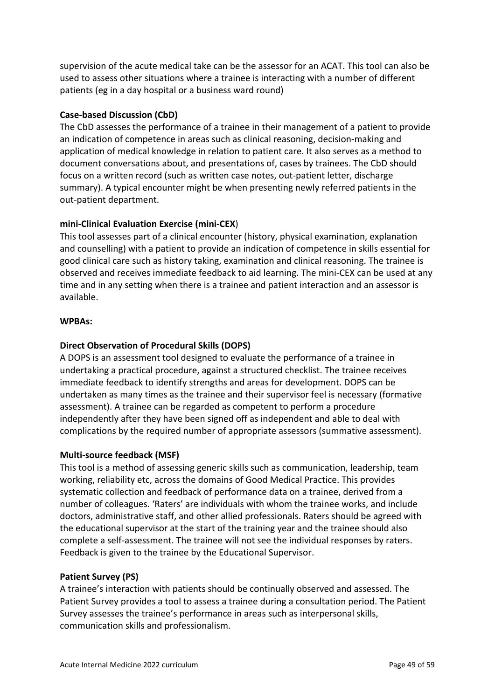supervision of the acute medical take can be the assessor for an ACAT. This tool can also be used to assess other situations where a trainee is interacting with a number of different patients (eg in a day hospital or a business ward round)

## **Case-based Discussion (CbD)**

The CbD assesses the performance of a trainee in their management of a patient to provide an indication of competence in areas such as clinical reasoning, decision-making and application of medical knowledge in relation to patient care. It also serves as a method to document conversations about, and presentations of, cases by trainees. The CbD should focus on a written record (such as written case notes, out-patient letter, discharge summary). A typical encounter might be when presenting newly referred patients in the out-patient department.

## **mini-Clinical Evaluation Exercise (mini-CEX**)

This tool assesses part of a clinical encounter (history, physical examination, explanation and counselling) with a patient to provide an indication of competence in skills essential for good clinical care such as history taking, examination and clinical reasoning. The trainee is observed and receives immediate feedback to aid learning. The mini-CEX can be used at any time and in any setting when there is a trainee and patient interaction and an assessor is available.

### <span id="page-48-0"></span>**WPBAs:**

## **Direct Observation of Procedural Skills (DOPS)**

A DOPS is an assessment tool designed to evaluate the performance of a trainee in undertaking a practical procedure, against a structured checklist. The trainee receives immediate feedback to identify strengths and areas for development. DOPS can be undertaken as many times as the trainee and their supervisor feel is necessary (formative assessment). A trainee can be regarded as competent to perform a procedure independently after they have been signed off as independent and able to deal with complications by the required number of appropriate assessors (summative assessment).

### **Multi-source feedback (MSF)**

This tool is a method of assessing generic skills such as communication, leadership, team working, reliability etc, across the domains of Good Medical Practice. This provides systematic collection and feedback of performance data on a trainee, derived from a number of colleagues. 'Raters' are individuals with whom the trainee works, and include doctors, administrative staff, and other allied professionals. Raters should be agreed with the educational supervisor at the start of the training year and the trainee should also complete a self-assessment. The trainee will not see the individual responses by raters. Feedback is given to the trainee by the Educational Supervisor.

### **Patient Survey (PS)**

A trainee's interaction with patients should be continually observed and assessed. The Patient Survey provides a tool to assess a trainee during a consultation period. The Patient Survey assesses the trainee's performance in areas such as interpersonal skills, communication skills and professionalism.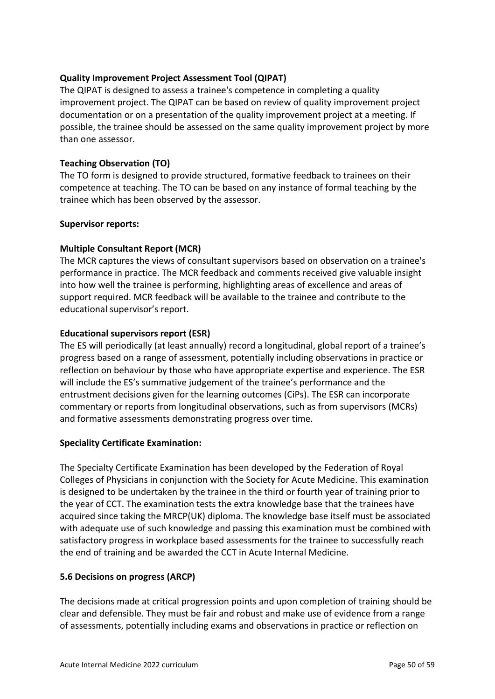## **Quality Improvement Project Assessment Tool (QIPAT)**

The QIPAT is designed to assess a trainee's competence in completing a quality improvement project. The QIPAT can be based on review of quality improvement project documentation or on a presentation of the quality improvement project at a meeting. If possible, the trainee should be assessed on the same quality improvement project by more than one assessor.

### **Teaching Observation (TO)**

The TO form is designed to provide structured, formative feedback to trainees on their competence at teaching. The TO can be based on any instance of formal teaching by the trainee which has been observed by the assessor.

### **Supervisor reports:**

### **Multiple Consultant Report (MCR)**

The MCR captures the views of consultant supervisors based on observation on a trainee's performance in practice. The MCR feedback and comments received give valuable insight into how well the trainee is performing, highlighting areas of excellence and areas of support required. MCR feedback will be available to the trainee and contribute to the educational supervisor's report.

### **Educational supervisors report (ESR)**

The ES will periodically (at least annually) record a longitudinal, global report of a trainee's progress based on a range of assessment, potentially including observations in practice or reflection on behaviour by those who have appropriate expertise and experience. The ESR will include the ES's summative judgement of the trainee's performance and the entrustment decisions given for the learning outcomes (CiPs). The ESR can incorporate commentary or reports from longitudinal observations, such as from supervisors (MCRs) and formative assessments demonstrating progress over time.

### **Speciality Certificate Examination:**

The Specialty Certificate Examination has been developed by the Federation of Royal Colleges of Physicians in conjunction with the Society for Acute Medicine. This examination is designed to be undertaken by the trainee in the third or fourth year of training prior to the year of CCT. The examination tests the extra knowledge base that the trainees have acquired since taking the MRCP(UK) diploma. The knowledge base itself must be associated with adequate use of such knowledge and passing this examination must be combined with satisfactory progress in workplace based assessments for the trainee to successfully reach the end of training and be awarded the CCT in Acute Internal Medicine.

### <span id="page-49-0"></span>**5.6 Decisions on progress (ARCP)**

The decisions made at critical progression points and upon completion of training should be clear and defensible. They must be fair and robust and make use of evidence from a range of assessments, potentially including exams and observations in practice or reflection on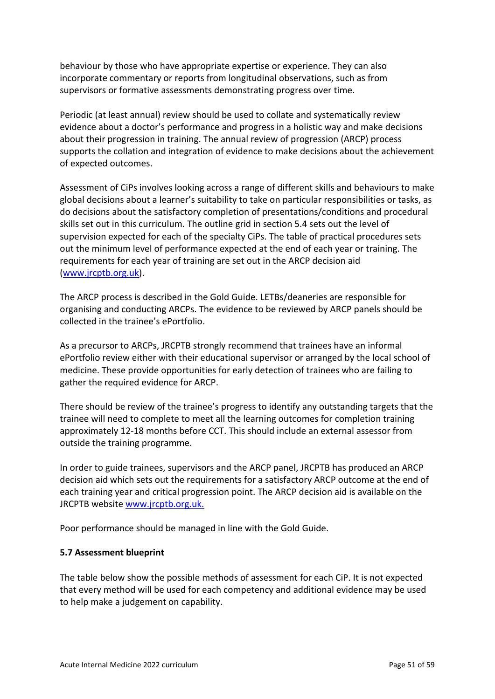behaviour by those who have appropriate expertise or experience. They can also incorporate commentary or reports from longitudinal observations, such as from supervisors or formative assessments demonstrating progress over time.

Periodic (at least annual) review should be used to collate and systematically review evidence about a doctor's performance and progress in a holistic way and make decisions about their progression in training. The annual review of progression (ARCP) process supports the collation and integration of evidence to make decisions about the achievement of expected outcomes.

Assessment of CiPs involves looking across a range of different skills and behaviours to make global decisions about a learner's suitability to take on particular responsibilities or tasks, as do decisions about the satisfactory completion of presentations/conditions and procedural skills set out in this curriculum. The outline grid in section 5.4 sets out the level of supervision expected for each of the specialty CiPs. The table of practical procedures sets out the minimum level of performance expected at the end of each year or training. The requirements for each year of training are set out in the ARCP decision aid [\(www.jrcptb.org.uk\)](http://www.jrcptb.org.uk/).

The ARCP process is described in the Gold Guide. LETBs/deaneries are responsible for organising and conducting ARCPs. The evidence to be reviewed by ARCP panels should be collected in the trainee's ePortfolio.

As a precursor to ARCPs, JRCPTB strongly recommend that trainees have an informal ePortfolio review either with their educational supervisor or arranged by the local school of medicine. These provide opportunities for early detection of trainees who are failing to gather the required evidence for ARCP.

There should be review of the trainee's progress to identify any outstanding targets that the trainee will need to complete to meet all the learning outcomes for completion training approximately 12-18 months before CCT. This should include an external assessor from outside the training programme.

In order to guide trainees, supervisors and the ARCP panel, JRCPTB has produced an ARCP decision aid which sets out the requirements for a satisfactory ARCP outcome at the end of each training year and critical progression point. The ARCP decision aid is available on the JRCPTB website [www.jrcptb.org.uk.](http://www.jrcptb.org.uk/)

Poor performance should be managed in line with the Gold Guide.

## <span id="page-50-0"></span>**5.7 Assessment blueprint**

The table below show the possible methods of assessment for each CiP. It is not expected that every method will be used for each competency and additional evidence may be used to help make a judgement on capability.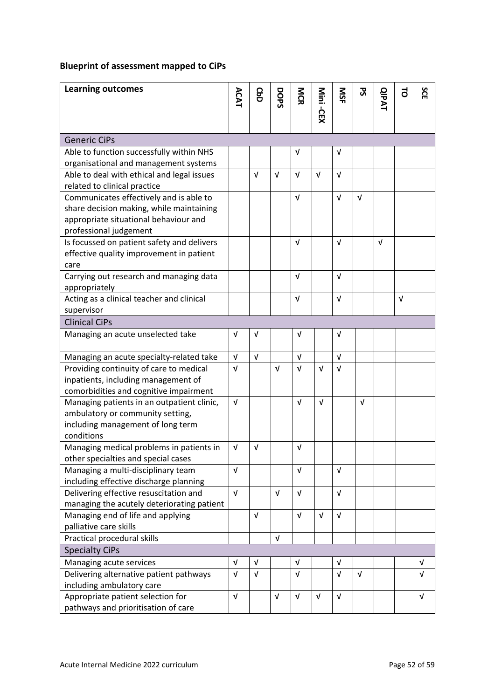# **Blueprint of assessment mapped to CiPs**

| <b>Learning outcomes</b>                                                        | ACAT       | <b>GaD</b> | DOPS       | MCR        | Mini -CEX  | ŠК         | ჯ          | <b>QIPAT</b> | 5          | SCE        |
|---------------------------------------------------------------------------------|------------|------------|------------|------------|------------|------------|------------|--------------|------------|------------|
|                                                                                 |            |            |            |            |            |            |            |              |            |            |
| <b>Generic CiPs</b>                                                             |            |            |            |            |            |            |            |              |            |            |
| Able to function successfully within NHS                                        |            |            |            | $\sqrt{ }$ |            | $\sqrt{ }$ |            |              |            |            |
| organisational and management systems                                           |            |            |            |            |            |            |            |              |            |            |
| Able to deal with ethical and legal issues                                      |            | $\sqrt{ }$ | $\sqrt{ }$ | $\sqrt{ }$ | $\sqrt{ }$ | $\sqrt{ }$ |            |              |            |            |
| related to clinical practice                                                    |            |            |            |            |            |            |            |              |            |            |
| Communicates effectively and is able to                                         |            |            |            | $\sqrt{ }$ |            | $\sqrt{ }$ | $\sqrt{ }$ |              |            |            |
| share decision making, while maintaining                                        |            |            |            |            |            |            |            |              |            |            |
| appropriate situational behaviour and<br>professional judgement                 |            |            |            |            |            |            |            |              |            |            |
| Is focussed on patient safety and delivers                                      |            |            |            | $\sqrt{ }$ |            | $\sqrt{ }$ |            | $\sqrt{ }$   |            |            |
| effective quality improvement in patient                                        |            |            |            |            |            |            |            |              |            |            |
| care                                                                            |            |            |            |            |            |            |            |              |            |            |
| Carrying out research and managing data                                         |            |            |            | $\sqrt{ }$ |            | $\sqrt{ }$ |            |              |            |            |
| appropriately                                                                   |            |            |            |            |            |            |            |              |            |            |
| Acting as a clinical teacher and clinical                                       |            |            |            | $\sqrt{ }$ |            | $\sqrt{ }$ |            |              | $\sqrt{ }$ |            |
| supervisor                                                                      |            |            |            |            |            |            |            |              |            |            |
| <b>Clinical CiPs</b>                                                            |            |            |            |            |            |            |            |              |            |            |
| Managing an acute unselected take                                               | $\sqrt{ }$ | $\sqrt{ }$ |            | $\sqrt{ }$ |            | $\sqrt{ }$ |            |              |            |            |
| Managing an acute specialty-related take                                        | $\sqrt{ }$ | $\sqrt{ }$ |            | $\sqrt{ }$ |            | $\sqrt{ }$ |            |              |            |            |
| Providing continuity of care to medical                                         | $\sqrt{ }$ |            | $\sqrt{ }$ | $\sqrt{ }$ | $\sqrt{ }$ | $\sqrt{ }$ |            |              |            |            |
| inpatients, including management of                                             |            |            |            |            |            |            |            |              |            |            |
| comorbidities and cognitive impairment                                          |            |            |            |            |            |            |            |              |            |            |
| Managing patients in an outpatient clinic,                                      | $\sqrt{ }$ |            |            | $\sqrt{ }$ | $\sqrt{ }$ |            | $\sqrt{ }$ |              |            |            |
| ambulatory or community setting,                                                |            |            |            |            |            |            |            |              |            |            |
| including management of long term                                               |            |            |            |            |            |            |            |              |            |            |
| conditions                                                                      |            |            |            |            |            |            |            |              |            |            |
| Managing medical problems in patients in<br>other specialties and special cases | $\sqrt{ }$ | $\sqrt{ }$ |            | $\sqrt{ }$ |            |            |            |              |            |            |
| Managing a multi-disciplinary team                                              | $\sqrt{ }$ |            |            | $\sqrt{ }$ |            | $\sqrt{ }$ |            |              |            |            |
| including effective discharge planning                                          |            |            |            |            |            |            |            |              |            |            |
| Delivering effective resuscitation and                                          | $\sqrt{ }$ |            | $\sqrt{ }$ | $\sqrt{ }$ |            | $\sqrt{ }$ |            |              |            |            |
| managing the acutely deteriorating patient                                      |            |            |            |            |            |            |            |              |            |            |
| Managing end of life and applying                                               |            | $\sqrt{ }$ |            | $\sqrt{ }$ | $\sqrt{ }$ | $\sqrt{ }$ |            |              |            |            |
| palliative care skills                                                          |            |            |            |            |            |            |            |              |            |            |
| Practical procedural skills                                                     |            |            | $\sqrt{ }$ |            |            |            |            |              |            |            |
| <b>Specialty CiPs</b>                                                           |            |            |            |            |            |            |            |              |            |            |
| Managing acute services                                                         | $\sqrt{ }$ | $\sqrt{ }$ |            | $\sqrt{ }$ |            | $\sqrt{ }$ |            |              |            | $\sqrt{ }$ |
| Delivering alternative patient pathways<br>including ambulatory care            | $\sqrt{ }$ | $\sqrt{ }$ |            | $\sqrt{ }$ |            | $\sqrt{ }$ | $\sqrt{ }$ |              |            | $\sqrt{ }$ |
| Appropriate patient selection for                                               | $\sqrt{ }$ |            | $\sqrt{ }$ | $\sqrt{ }$ | $\sqrt{ }$ | $\sqrt{ }$ |            |              |            | $\sqrt{ }$ |
| pathways and prioritisation of care                                             |            |            |            |            |            |            |            |              |            |            |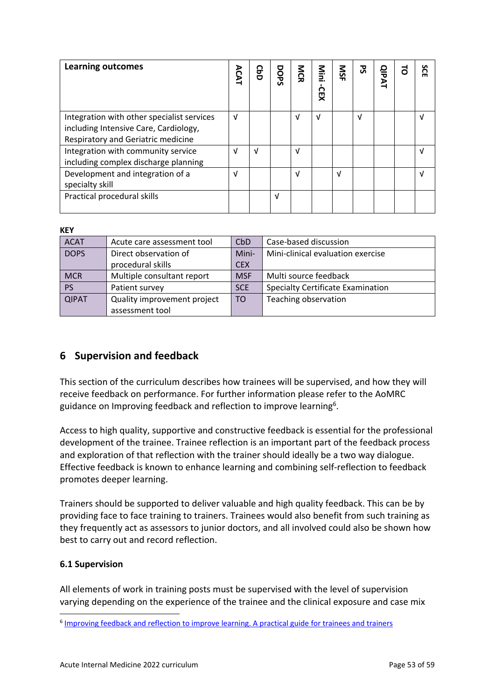| <b>Learning outcomes</b>                                                                                                  | <b>ACAT</b> | CbD | DOPS | <b>NGR</b> | Mini<br>СЕХ<br>Х | SN | 꿍          | <b>QIPAT</b> | s<br>റ<br>m |
|---------------------------------------------------------------------------------------------------------------------------|-------------|-----|------|------------|------------------|----|------------|--------------|-------------|
| Integration with other specialist services<br>including Intensive Care, Cardiology,<br>Respiratory and Geriatric medicine | $\sqrt{ }$  |     |      | V          | $\sqrt{ }$       |    | $\sqrt{ }$ |              | νI          |
| Integration with community service<br>including complex discharge planning                                                | νI          | νI  |      | ν          |                  |    |            |              | M           |
| Development and integration of a<br>specialty skill                                                                       | J           |     |      | V          |                  | V  |            |              |             |
| Practical procedural skills                                                                                               |             |     | V    |            |                  |    |            |              |             |

### **KEY**

| <b>ACAT</b>  | Acute care assessment tool  | CbD            | Case-based discussion                    |
|--------------|-----------------------------|----------------|------------------------------------------|
| <b>DOPS</b>  | Direct observation of       | Mini-          | Mini-clinical evaluation exercise        |
|              | procedural skills           | <b>CEX</b>     |                                          |
| <b>MCR</b>   | Multiple consultant report  | <b>MSF</b>     | Multi source feedback                    |
| <b>PS</b>    | Patient survey              | <b>SCE</b>     | <b>Specialty Certificate Examination</b> |
| <b>QIPAT</b> | Quality improvement project | T <sub>O</sub> | Teaching observation                     |
|              | assessment tool             |                |                                          |

# <span id="page-52-0"></span>**6 Supervision and feedback**

This section of the curriculum describes how trainees will be supervised, and how they will receive feedback on performance. For further information please refer to the AoMRC guidance on Improving feedback and reflection to improve learning<sup>6</sup>.

Access to high quality, supportive and constructive feedback is essential for the professional development of the trainee. Trainee reflection is an important part of the feedback process and exploration of that reflection with the trainer should ideally be a two way dialogue. Effective feedback is known to enhance learning and combining self-reflection to feedback promotes deeper learning.

Trainers should be supported to deliver valuable and high quality feedback. This can be by providing face to face training to trainers. Trainees would also benefit from such training as they frequently act as assessors to junior doctors, and all involved could also be shown how best to carry out and record reflection.

### <span id="page-52-1"></span>**6.1 Supervision**

All elements of work in training posts must be supervised with the level of supervision varying depending on the experience of the trainee and the clinical exposure and case mix

<sup>&</sup>lt;sup>6</sup> [Improving feedback and reflection to improve learning. A practical guide](http://www.aomrc.org.uk/publications/reports-guidance/improving-feedback-reflection-improve-learning-practical-guide-trainees-trainers/) for trainees and trainers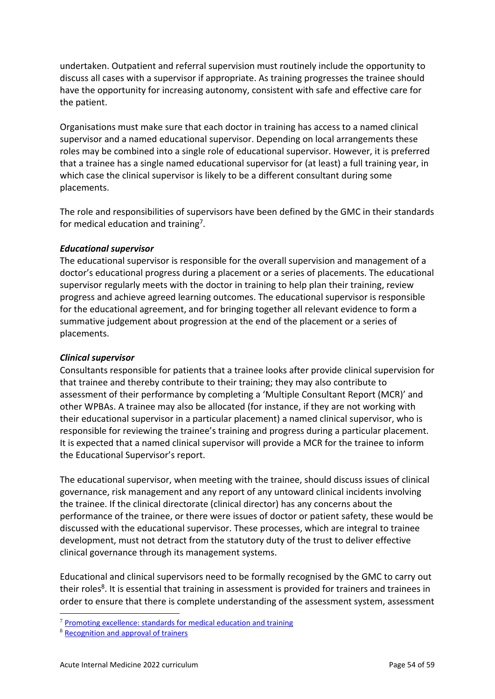undertaken. Outpatient and referral supervision must routinely include the opportunity to discuss all cases with a supervisor if appropriate. As training progresses the trainee should have the opportunity for increasing autonomy, consistent with safe and effective care for the patient.

Organisations must make sure that each doctor in training has access to a named clinical supervisor and a named educational supervisor. Depending on local arrangements these roles may be combined into a single role of educational supervisor. However, it is preferred that a trainee has a single named educational supervisor for (at least) a full training year, in which case the clinical supervisor is likely to be a different consultant during some placements.

The role and responsibilities of supervisors have been defined by the GMC in their standards for medical education and training<sup>7</sup>.

### *Educational supervisor*

The educational supervisor is responsible for the overall supervision and management of a doctor's educational progress during a placement or a series of placements. The educational supervisor regularly meets with the doctor in training to help plan their training, review progress and achieve agreed learning outcomes. The educational supervisor is responsible for the educational agreement, and for bringing together all relevant evidence to form a summative judgement about progression at the end of the placement or a series of placements.

### *Clinical supervisor*

Consultants responsible for patients that a trainee looks after provide clinical supervision for that trainee and thereby contribute to their training; they may also contribute to assessment of their performance by completing a 'Multiple Consultant Report (MCR)' and other WPBAs. A trainee may also be allocated (for instance, if they are not working with their educational supervisor in a particular placement) a named clinical supervisor, who is responsible for reviewing the trainee's training and progress during a particular placement. It is expected that a named clinical supervisor will provide a MCR for the trainee to inform the Educational Supervisor's report.

The educational supervisor, when meeting with the trainee, should discuss issues of clinical governance, risk management and any report of any untoward clinical incidents involving the trainee. If the clinical directorate (clinical director) has any concerns about the performance of the trainee, or there were issues of doctor or patient safety, these would be discussed with the educational supervisor. These processes, which are integral to trainee development, must not detract from the statutory duty of the trust to deliver effective clinical governance through its management systems.

Educational and clinical supervisors need to be formally recognised by the GMC to carry out their roles<sup>8</sup>. It is essential that training in assessment is provided for trainers and trainees in order to ensure that there is complete understanding of the assessment system, assessment

 $7$  [Promoting excellence: standards for medical education and training](http://www.gmc-uk.org/education/standards.asp)

<sup>8</sup> [Recognition and approval of trainers](http://www.gmc-uk.org/education/10264.asp)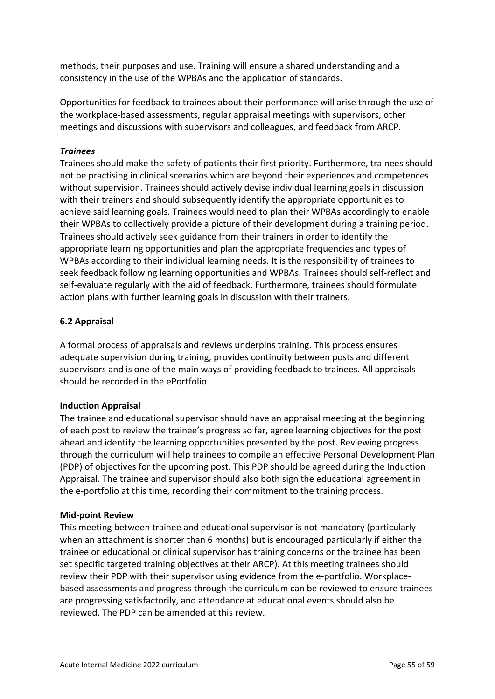methods, their purposes and use. Training will ensure a shared understanding and a consistency in the use of the WPBAs and the application of standards.

Opportunities for feedback to trainees about their performance will arise through the use of the workplace-based assessments, regular appraisal meetings with supervisors, other meetings and discussions with supervisors and colleagues, and feedback from ARCP.

### *Trainees*

Trainees should make the safety of patients their first priority. Furthermore, trainees should not be practising in clinical scenarios which are beyond their experiences and competences without supervision. Trainees should actively devise individual learning goals in discussion with their trainers and should subsequently identify the appropriate opportunities to achieve said learning goals. Trainees would need to plan their WPBAs accordingly to enable their WPBAs to collectively provide a picture of their development during a training period. Trainees should actively seek guidance from their trainers in order to identify the appropriate learning opportunities and plan the appropriate frequencies and types of WPBAs according to their individual learning needs. It is the responsibility of trainees to seek feedback following learning opportunities and WPBAs. Trainees should self-reflect and self-evaluate regularly with the aid of feedback. Furthermore, trainees should formulate action plans with further learning goals in discussion with their trainers.

## <span id="page-54-0"></span>**6.2 Appraisal**

A formal process of appraisals and reviews underpins training. This process ensures adequate supervision during training, provides continuity between posts and different supervisors and is one of the main ways of providing feedback to trainees. All appraisals should be recorded in the ePortfolio

### **Induction Appraisal**

The trainee and educational supervisor should have an appraisal meeting at the beginning of each post to review the trainee's progress so far, agree learning objectives for the post ahead and identify the learning opportunities presented by the post. Reviewing progress through the curriculum will help trainees to compile an effective Personal Development Plan (PDP) of objectives for the upcoming post. This PDP should be agreed during the Induction Appraisal. The trainee and supervisor should also both sign the educational agreement in the e-portfolio at this time, recording their commitment to the training process.

### **Mid-point Review**

This meeting between trainee and educational supervisor is not mandatory (particularly when an attachment is shorter than 6 months) but is encouraged particularly if either the trainee or educational or clinical supervisor has training concerns or the trainee has been set specific targeted training objectives at their ARCP). At this meeting trainees should review their PDP with their supervisor using evidence from the e-portfolio. Workplacebased assessments and progress through the curriculum can be reviewed to ensure trainees are progressing satisfactorily, and attendance at educational events should also be reviewed. The PDP can be amended at this review.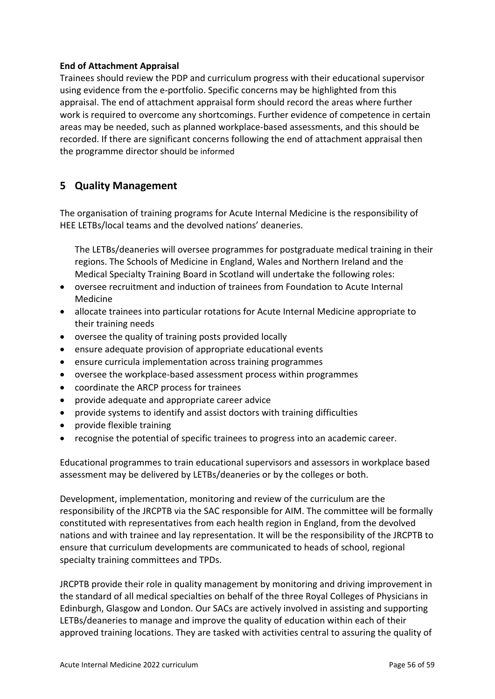## **End of Attachment Appraisal**

Trainees should review the PDP and curriculum progress with their educational supervisor using evidence from the e-portfolio. Specific concerns may be highlighted from this appraisal. The end of attachment appraisal form should record the areas where further work is required to overcome any shortcomings. Further evidence of competence in certain areas may be needed, such as planned workplace-based assessments, and this should be recorded. If there are significant concerns following the end of attachment appraisal then the programme director should be informed

# <span id="page-55-0"></span>**5 Quality Management**

The organisation of training programs for Acute Internal Medicine is the responsibility of HEE LETBs/local teams and the devolved nations' deaneries.

The LETBs/deaneries will oversee programmes for postgraduate medical training in their regions. The Schools of Medicine in England, Wales and Northern Ireland and the Medical Specialty Training Board in Scotland will undertake the following roles:

- oversee recruitment and induction of trainees from Foundation to Acute Internal Medicine
- allocate trainees into particular rotations for Acute Internal Medicine appropriate to their training needs
- oversee the quality of training posts provided locally
- ensure adequate provision of appropriate educational events
- ensure curricula implementation across training programmes
- oversee the workplace-based assessment process within programmes
- coordinate the ARCP process for trainees
- provide adequate and appropriate career advice
- provide systems to identify and assist doctors with training difficulties
- provide flexible training
- recognise the potential of specific trainees to progress into an academic career.

Educational programmes to train educational supervisors and assessors in workplace based assessment may be delivered by LETBs/deaneries or by the colleges or both.

Development, implementation, monitoring and review of the curriculum are the responsibility of the JRCPTB via the SAC responsible for AIM. The committee will be formally constituted with representatives from each health region in England, from the devolved nations and with trainee and lay representation. It will be the responsibility of the JRCPTB to ensure that curriculum developments are communicated to heads of school, regional specialty training committees and TPDs.

JRCPTB provide their role in quality management by monitoring and driving improvement in the standard of all medical specialties on behalf of the three Royal Colleges of Physicians in Edinburgh, Glasgow and London. Our SACs are actively involved in assisting and supporting LETBs/deaneries to manage and improve the quality of education within each of their approved training locations. They are tasked with activities central to assuring the quality of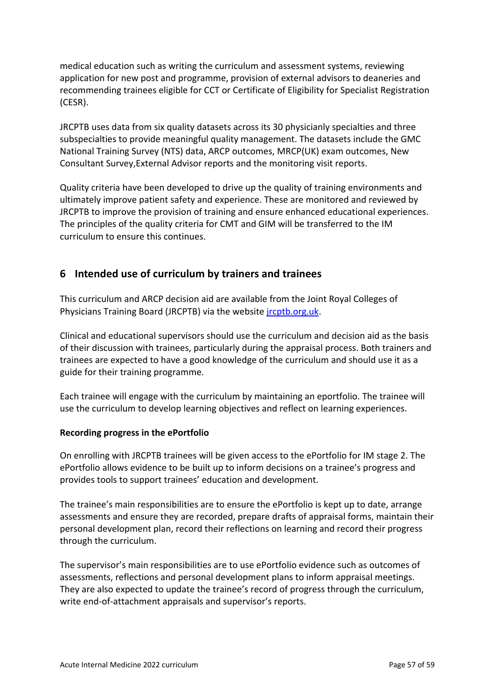medical education such as writing the curriculum and assessment systems, reviewing application for new post and programme, provision of external advisors to deaneries and recommending trainees eligible for CCT or Certificate of Eligibility for Specialist Registration (CESR).

JRCPTB uses data from six quality datasets across its 30 physicianly specialties and three subspecialties to provide meaningful quality management. The datasets include the GMC National Training Survey (NTS) data, ARCP outcomes, MRCP(UK) exam outcomes, New Consultant Survey,External Advisor reports and the monitoring visit reports.

Quality criteria have been developed to drive up the quality of training environments and ultimately improve patient safety and experience. These are monitored and reviewed by JRCPTB to improve the provision of training and ensure enhanced educational experiences. The principles of the quality criteria for CMT and GIM will be transferred to the IM curriculum to ensure this continues.

## <span id="page-56-0"></span>**6 Intended use of curriculum by trainers and trainees**

This curriculum and ARCP decision aid are available from the Joint Royal Colleges of Physicians Training Board (JRCPTB) via the website [jrcptb.org.uk.](http://www.jrcptb.org.uk/)

Clinical and educational supervisors should use the curriculum and decision aid as the basis of their discussion with trainees, particularly during the appraisal process. Both trainers and trainees are expected to have a good knowledge of the curriculum and should use it as a guide for their training programme.

Each trainee will engage with the curriculum by maintaining an eportfolio. The trainee will use the curriculum to develop learning objectives and reflect on learning experiences.

### **Recording progress in the ePortfolio**

On enrolling with JRCPTB trainees will be given access to the ePortfolio for IM stage 2. The ePortfolio allows evidence to be built up to inform decisions on a trainee's progress and provides tools to support trainees' education and development.

The trainee's main responsibilities are to ensure the ePortfolio is kept up to date, arrange assessments and ensure they are recorded, prepare drafts of appraisal forms, maintain their personal development plan, record their reflections on learning and record their progress through the curriculum.

The supervisor's main responsibilities are to use ePortfolio evidence such as outcomes of assessments, reflections and personal development plans to inform appraisal meetings. They are also expected to update the trainee's record of progress through the curriculum, write end-of-attachment appraisals and supervisor's reports.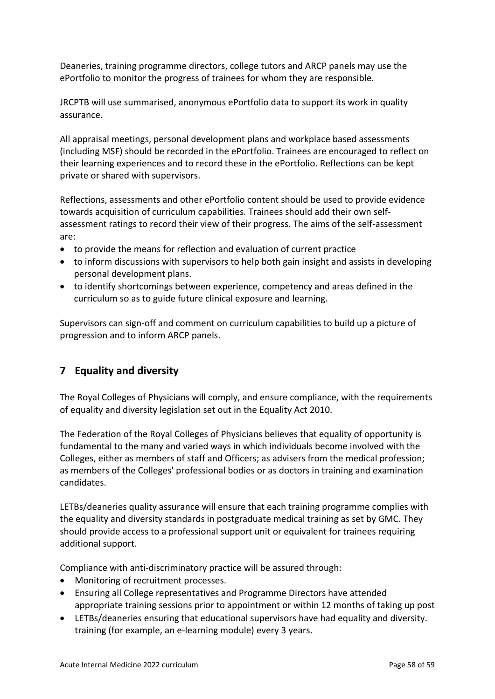Deaneries, training programme directors, college tutors and ARCP panels may use the ePortfolio to monitor the progress of trainees for whom they are responsible.

JRCPTB will use summarised, anonymous ePortfolio data to support its work in quality assurance.

All appraisal meetings, personal development plans and workplace based assessments (including MSF) should be recorded in the ePortfolio. Trainees are encouraged to reflect on their learning experiences and to record these in the ePortfolio. Reflections can be kept private or shared with supervisors.

Reflections, assessments and other ePortfolio content should be used to provide evidence towards acquisition of curriculum capabilities. Trainees should add their own selfassessment ratings to record their view of their progress. The aims of the self-assessment are:

- to provide the means for reflection and evaluation of current practice
- to inform discussions with supervisors to help both gain insight and assists in developing personal development plans.
- to identify shortcomings between experience, competency and areas defined in the curriculum so as to guide future clinical exposure and learning.

Supervisors can sign-off and comment on curriculum capabilities to build up a picture of progression and to inform ARCP panels.

# <span id="page-57-0"></span>**7 Equality and diversity**

The Royal Colleges of Physicians will comply, and ensure compliance, with the requirements of equality and diversity legislation set out in the Equality Act 2010.

The Federation of the Royal Colleges of Physicians believes that equality of opportunity is fundamental to the many and varied ways in which individuals become involved with the Colleges, either as members of staff and Officers; as advisers from the medical profession; as members of the Colleges' professional bodies or as doctors in training and examination candidates.

LETBs/deaneries quality assurance will ensure that each training programme complies with the equality and diversity standards in postgraduate medical training as set by GMC. They should provide access to a professional support unit or equivalent for trainees requiring additional support.

Compliance with anti-discriminatory practice will be assured through:

- Monitoring of recruitment processes.
- Ensuring all College representatives and Programme Directors have attended appropriate training sessions prior to appointment or within 12 months of taking up post
- LETBs/deaneries ensuring that educational supervisors have had equality and diversity. training (for example, an e-learning module) every 3 years.